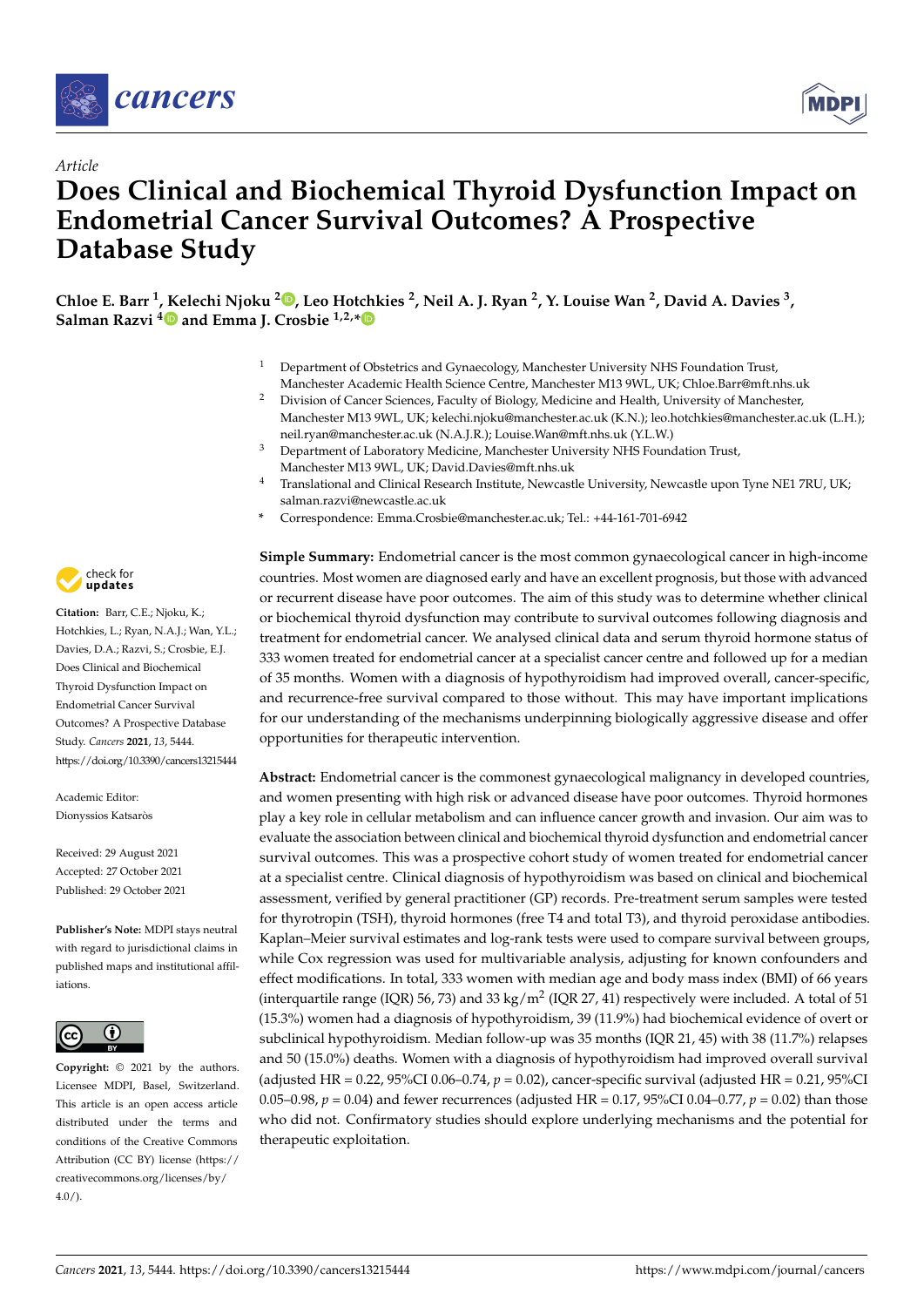



# *Article* **Does Clinical and Biochemical Thyroid Dysfunction Impact on Endometrial Cancer Survival Outcomes? A Prospective Database Study**

**Chloe E. Barr <sup>1</sup> , Kelechi Njoku <sup>2</sup> [,](https://orcid.org/0000-0001-6528-3476) Leo Hotchkies <sup>2</sup> , Neil A. J. Ryan <sup>2</sup> , Y. Louise Wan <sup>2</sup> , David A. Davies <sup>3</sup> , Salman Razvi [4](https://orcid.org/0000-0002-9047-1556) and Emma J. Crosbie 1,2,[\\*](https://orcid.org/0000-0003-0284-8630)**

- <sup>1</sup> Department of Obstetrics and Gynaecology, Manchester University NHS Foundation Trust,
- Manchester Academic Health Science Centre, Manchester M13 9WL, UK; Chloe.Barr@mft.nhs.uk <sup>2</sup> Division of Cancer Sciences, Faculty of Biology, Medicine and Health, University of Manchester, Manchester M13 9WL, UK; kelechi.njoku@manchester.ac.uk (K.N.); leo.hotchkies@manchester.ac.uk (L.H.);
- neil.ryan@manchester.ac.uk (N.A.J.R.); Louise.Wan@mft.nhs.uk (Y.L.W.)
- <sup>3</sup> Department of Laboratory Medicine, Manchester University NHS Foundation Trust, Manchester M13 9WL, UK; David.Davies@mft.nhs.uk
- <sup>4</sup> Translational and Clinical Research Institute, Newcastle University, Newcastle upon Tyne NE1 7RU, UK; salman.razvi@newcastle.ac.uk
- **\*** Correspondence: Emma.Crosbie@manchester.ac.uk; Tel.: +44-161-701-6942

**Simple Summary:** Endometrial cancer is the most common gynaecological cancer in high-income countries. Most women are diagnosed early and have an excellent prognosis, but those with advanced or recurrent disease have poor outcomes. The aim of this study was to determine whether clinical or biochemical thyroid dysfunction may contribute to survival outcomes following diagnosis and treatment for endometrial cancer. We analysed clinical data and serum thyroid hormone status of 333 women treated for endometrial cancer at a specialist cancer centre and followed up for a median of 35 months. Women with a diagnosis of hypothyroidism had improved overall, cancer-specific, and recurrence-free survival compared to those without. This may have important implications for our understanding of the mechanisms underpinning biologically aggressive disease and offer opportunities for therapeutic intervention.

**Abstract:** Endometrial cancer is the commonest gynaecological malignancy in developed countries, and women presenting with high risk or advanced disease have poor outcomes. Thyroid hormones play a key role in cellular metabolism and can influence cancer growth and invasion. Our aim was to evaluate the association between clinical and biochemical thyroid dysfunction and endometrial cancer survival outcomes. This was a prospective cohort study of women treated for endometrial cancer at a specialist centre. Clinical diagnosis of hypothyroidism was based on clinical and biochemical assessment, verified by general practitioner (GP) records. Pre-treatment serum samples were tested for thyrotropin (TSH), thyroid hormones (free T4 and total T3), and thyroid peroxidase antibodies. Kaplan–Meier survival estimates and log-rank tests were used to compare survival between groups, while Cox regression was used for multivariable analysis, adjusting for known confounders and effect modifications. In total, 333 women with median age and body mass index (BMI) of 66 years (interquartile range (IQR) 56, 73) and 33 kg/m<sup>2</sup> (IQR 27, 41) respectively were included. A total of 51 (15.3%) women had a diagnosis of hypothyroidism, 39 (11.9%) had biochemical evidence of overt or subclinical hypothyroidism. Median follow-up was 35 months (IQR 21, 45) with 38 (11.7%) relapses and 50 (15.0%) deaths. Women with a diagnosis of hypothyroidism had improved overall survival (adjusted HR = 0.22, 95%CI 0.06–0.74, *p* = 0.02), cancer-specific survival (adjusted HR = 0.21, 95%CI 0.05–0.98,  $p = 0.04$ ) and fewer recurrences (adjusted HR = 0.17, 95%CI 0.04–0.77,  $p = 0.02$ ) than those who did not. Confirmatory studies should explore underlying mechanisms and the potential for therapeutic exploitation.



**Citation:** Barr, C.E.; Njoku, K.; Hotchkies, L.; Ryan, N.A.J.; Wan, Y.L.; Davies, D.A.; Razvi, S.; Crosbie, E.J. Does Clinical and Biochemical Thyroid Dysfunction Impact on Endometrial Cancer Survival Outcomes? A Prospective Database Study. *Cancers* **2021**, *13*, 5444. <https://doi.org/10.3390/cancers13215444>

Academic Editor: Dionyssios Katsaròs

Received: 29 August 2021 Accepted: 27 October 2021 Published: 29 October 2021

**Publisher's Note:** MDPI stays neutral with regard to jurisdictional claims in published maps and institutional affiliations.



**Copyright:** © 2021 by the authors. Licensee MDPI, Basel, Switzerland. This article is an open access article distributed under the terms and conditions of the Creative Commons Attribution (CC BY) license (https:/[/](https://creativecommons.org/licenses/by/4.0/) [creativecommons.org/licenses/by/](https://creativecommons.org/licenses/by/4.0/)  $4.0/$ ).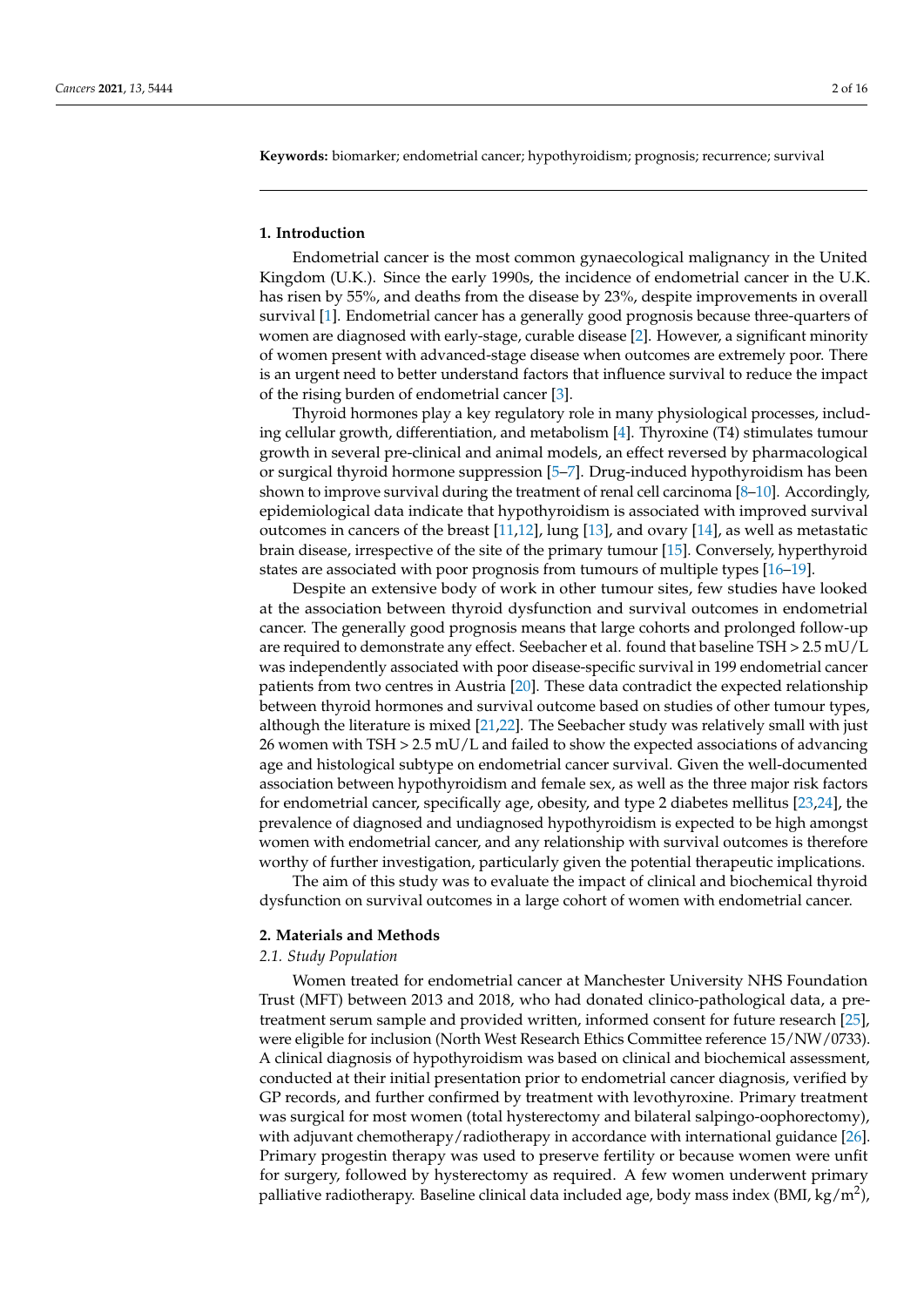**Keywords:** biomarker; endometrial cancer; hypothyroidism; prognosis; recurrence; survival

#### **1. Introduction**

Endometrial cancer is the most common gynaecological malignancy in the United Kingdom (U.K.). Since the early 1990s, the incidence of endometrial cancer in the U.K. has risen by 55%, and deaths from the disease by 23%, despite improvements in overall survival [\[1\]](#page-13-0). Endometrial cancer has a generally good prognosis because three-quarters of women are diagnosed with early-stage, curable disease [\[2\]](#page-13-1). However, a significant minority of women present with advanced-stage disease when outcomes are extremely poor. There is an urgent need to better understand factors that influence survival to reduce the impact of the rising burden of endometrial cancer [\[3\]](#page-13-2).

Thyroid hormones play a key regulatory role in many physiological processes, including cellular growth, differentiation, and metabolism [\[4\]](#page-13-3). Thyroxine (T4) stimulates tumour growth in several pre-clinical and animal models, an effect reversed by pharmacological or surgical thyroid hormone suppression [\[5–](#page-13-4)[7\]](#page-13-5). Drug-induced hypothyroidism has been shown to improve survival during the treatment of renal cell carcinoma [\[8](#page-13-6)[–10\]](#page-14-0). Accordingly, epidemiological data indicate that hypothyroidism is associated with improved survival outcomes in cancers of the breast [\[11](#page-14-1)[,12\]](#page-14-2), lung [\[13\]](#page-14-3), and ovary [\[14\]](#page-14-4), as well as metastatic brain disease, irrespective of the site of the primary tumour [\[15\]](#page-14-5). Conversely, hyperthyroid states are associated with poor prognosis from tumours of multiple types [\[16–](#page-14-6)[19\]](#page-14-7).

Despite an extensive body of work in other tumour sites, few studies have looked at the association between thyroid dysfunction and survival outcomes in endometrial cancer. The generally good prognosis means that large cohorts and prolonged follow-up are required to demonstrate any effect. Seebacher et al. found that baseline TSH > 2.5 mU/L was independently associated with poor disease-specific survival in 199 endometrial cancer patients from two centres in Austria [\[20\]](#page-14-8). These data contradict the expected relationship between thyroid hormones and survival outcome based on studies of other tumour types, although the literature is mixed [\[21,](#page-14-9)[22\]](#page-14-10). The Seebacher study was relatively small with just 26 women with TSH > 2.5 mU/L and failed to show the expected associations of advancing age and histological subtype on endometrial cancer survival. Given the well-documented association between hypothyroidism and female sex, as well as the three major risk factors for endometrial cancer, specifically age, obesity, and type 2 diabetes mellitus [\[23](#page-14-11)[,24\]](#page-14-12), the prevalence of diagnosed and undiagnosed hypothyroidism is expected to be high amongst women with endometrial cancer, and any relationship with survival outcomes is therefore worthy of further investigation, particularly given the potential therapeutic implications.

The aim of this study was to evaluate the impact of clinical and biochemical thyroid dysfunction on survival outcomes in a large cohort of women with endometrial cancer.

#### **2. Materials and Methods**

#### *2.1. Study Population*

Women treated for endometrial cancer at Manchester University NHS Foundation Trust (MFT) between 2013 and 2018, who had donated clinico-pathological data, a pretreatment serum sample and provided written, informed consent for future research [\[25\]](#page-14-13), were eligible for inclusion (North West Research Ethics Committee reference 15/NW/0733). A clinical diagnosis of hypothyroidism was based on clinical and biochemical assessment, conducted at their initial presentation prior to endometrial cancer diagnosis, verified by GP records, and further confirmed by treatment with levothyroxine. Primary treatment was surgical for most women (total hysterectomy and bilateral salpingo-oophorectomy), with adjuvant chemotherapy/radiotherapy in accordance with international guidance [\[26\]](#page-14-14). Primary progestin therapy was used to preserve fertility or because women were unfit for surgery, followed by hysterectomy as required. A few women underwent primary palliative radiotherapy. Baseline clinical data included age, body mass index (BMI, kg/m<sup>2</sup>),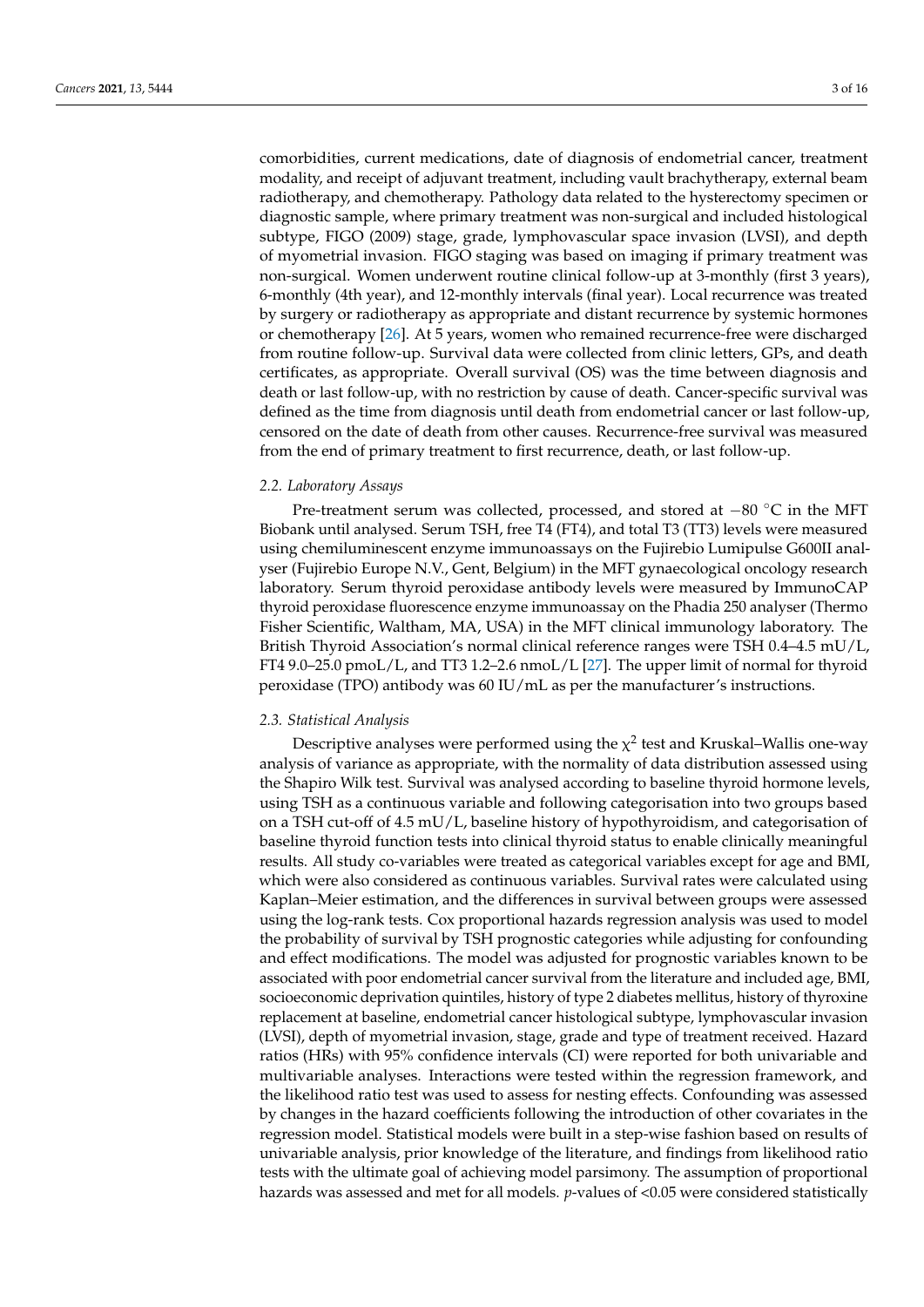comorbidities, current medications, date of diagnosis of endometrial cancer, treatment modality, and receipt of adjuvant treatment, including vault brachytherapy, external beam radiotherapy, and chemotherapy. Pathology data related to the hysterectomy specimen or diagnostic sample, where primary treatment was non-surgical and included histological subtype, FIGO (2009) stage, grade, lymphovascular space invasion (LVSI), and depth of myometrial invasion. FIGO staging was based on imaging if primary treatment was non-surgical. Women underwent routine clinical follow-up at 3-monthly (first 3 years), 6-monthly (4th year), and 12-monthly intervals (final year). Local recurrence was treated by surgery or radiotherapy as appropriate and distant recurrence by systemic hormones or chemotherapy [\[26\]](#page-14-14). At 5 years, women who remained recurrence-free were discharged from routine follow-up. Survival data were collected from clinic letters, GPs, and death certificates, as appropriate. Overall survival (OS) was the time between diagnosis and death or last follow-up, with no restriction by cause of death. Cancer-specific survival was defined as the time from diagnosis until death from endometrial cancer or last follow-up, censored on the date of death from other causes. Recurrence-free survival was measured from the end of primary treatment to first recurrence, death, or last follow-up.

# *2.2. Laboratory Assays*

Pre-treatment serum was collected, processed, and stored at −80 °C in the MFT Biobank until analysed. Serum TSH, free T4 (FT4), and total T3 (TT3) levels were measured using chemiluminescent enzyme immunoassays on the Fujirebio Lumipulse G600II analyser (Fujirebio Europe N.V., Gent, Belgium) in the MFT gynaecological oncology research laboratory. Serum thyroid peroxidase antibody levels were measured by ImmunoCAP thyroid peroxidase fluorescence enzyme immunoassay on the Phadia 250 analyser (Thermo Fisher Scientific, Waltham, MA, USA) in the MFT clinical immunology laboratory. The British Thyroid Association's normal clinical reference ranges were TSH 0.4–4.5 mU/L, FT4 9.0–25.0 pmoL/L, and TT3 1.2–2.6 nmoL/L [\[27\]](#page-14-15). The upper limit of normal for thyroid peroxidase (TPO) antibody was 60 IU/mL as per the manufacturer's instructions.

# *2.3. Statistical Analysis*

Descriptive analyses were performed using the  $\chi^2$  test and Kruskal–Wallis one-way analysis of variance as appropriate, with the normality of data distribution assessed using the Shapiro Wilk test. Survival was analysed according to baseline thyroid hormone levels, using TSH as a continuous variable and following categorisation into two groups based on a TSH cut-off of 4.5 mU/L, baseline history of hypothyroidism, and categorisation of baseline thyroid function tests into clinical thyroid status to enable clinically meaningful results. All study co-variables were treated as categorical variables except for age and BMI, which were also considered as continuous variables. Survival rates were calculated using Kaplan–Meier estimation, and the differences in survival between groups were assessed using the log-rank tests. Cox proportional hazards regression analysis was used to model the probability of survival by TSH prognostic categories while adjusting for confounding and effect modifications. The model was adjusted for prognostic variables known to be associated with poor endometrial cancer survival from the literature and included age, BMI, socioeconomic deprivation quintiles, history of type 2 diabetes mellitus, history of thyroxine replacement at baseline, endometrial cancer histological subtype, lymphovascular invasion (LVSI), depth of myometrial invasion, stage, grade and type of treatment received. Hazard ratios (HRs) with 95% confidence intervals (CI) were reported for both univariable and multivariable analyses. Interactions were tested within the regression framework, and the likelihood ratio test was used to assess for nesting effects. Confounding was assessed by changes in the hazard coefficients following the introduction of other covariates in the regression model. Statistical models were built in a step-wise fashion based on results of univariable analysis, prior knowledge of the literature, and findings from likelihood ratio tests with the ultimate goal of achieving model parsimony. The assumption of proportional hazards was assessed and met for all models. *p*-values of <0.05 were considered statistically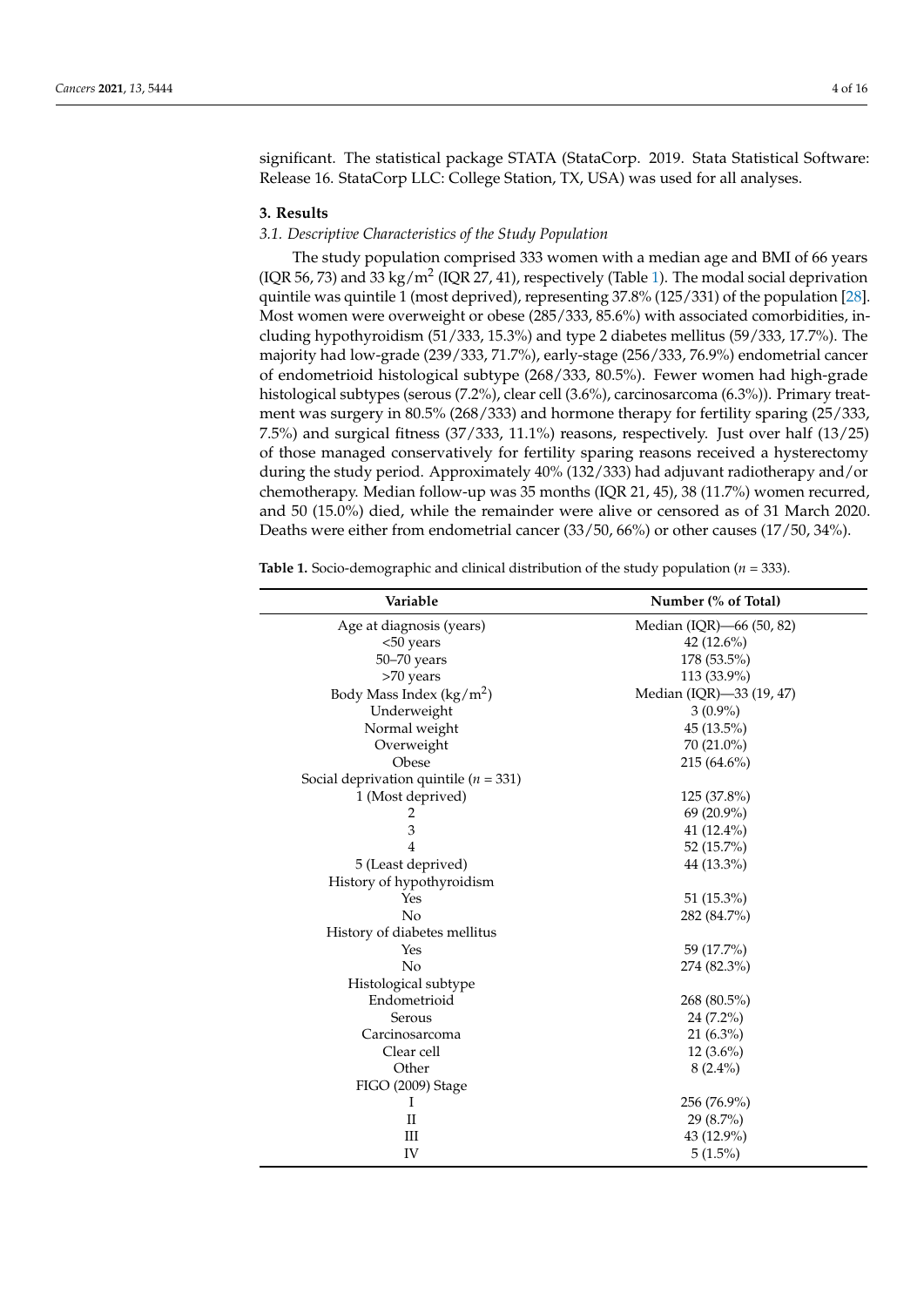significant. The statistical package STATA (StataCorp. 2019. Stata Statistical Software: Release 16. StataCorp LLC: College Station, TX, USA) was used for all analyses.

### **3. Results**

# *3.1. Descriptive Characteristics of the Study Population*

The study population comprised 333 women with a median age and BMI of 66 years (IQR 56, 73) and 33 kg/m<sup>2</sup> (IQR 27, 4[1\)](#page-3-0), respectively (Table 1). The modal social deprivation quintile was quintile 1 (most deprived), representing 37.8% (125/331) of the population [\[28\]](#page-14-16). Most women were overweight or obese (285/333, 85.6%) with associated comorbidities, including hypothyroidism (51/333, 15.3%) and type 2 diabetes mellitus (59/333, 17.7%). The majority had low-grade (239/333, 71.7%), early-stage (256/333, 76.9%) endometrial cancer of endometrioid histological subtype (268/333, 80.5%). Fewer women had high-grade histological subtypes (serous (7.2%), clear cell (3.6%), carcinosarcoma (6.3%)). Primary treatment was surgery in 80.5% (268/333) and hormone therapy for fertility sparing (25/333, 7.5%) and surgical fitness (37/333, 11.1%) reasons, respectively. Just over half (13/25) of those managed conservatively for fertility sparing reasons received a hysterectomy during the study period. Approximately 40% (132/333) had adjuvant radiotherapy and/or chemotherapy. Median follow-up was 35 months (IQR 21, 45), 38 (11.7%) women recurred, and 50 (15.0%) died, while the remainder were alive or censored as of 31 March 2020. Deaths were either from endometrial cancer (33/50, 66%) or other causes (17/50, 34%).

| Variable                                  | Number (% of Total)      |
|-------------------------------------------|--------------------------|
| Age at diagnosis (years)                  | Median (IQR)-66 (50, 82) |
| <50 years                                 | 42 (12.6%)               |
| 50-70 years                               | 178 (53.5%)              |
| >70 years                                 | 113 (33.9%)              |
| Body Mass Index $(kg/m2)$                 | Median (IQR)-33 (19, 47) |
| Underweight                               | $3(0.9\%)$               |
| Normal weight                             | 45 (13.5%)               |
| Overweight                                | $70(21.0\%)$             |
| Obese                                     | $215(64.6\%)$            |
| Social deprivation quintile ( $n = 331$ ) |                          |
| 1 (Most deprived)                         | 125 (37.8%)              |
| 2                                         | 69 (20.9%)               |
| 3                                         | 41 (12.4%)               |
| $\overline{4}$                            | 52 (15.7%)               |
| 5 (Least deprived)                        | 44 (13.3%)               |
| History of hypothyroidism                 |                          |
| Yes                                       | 51 (15.3%)               |
| No                                        | 282 (84.7%)              |
| History of diabetes mellitus              |                          |
| Yes                                       | 59 (17.7%)               |
| No                                        | 274 (82.3%)              |
| Histological subtype                      |                          |
| Endometrioid                              | 268 (80.5%)              |
| Serous                                    | 24 (7.2%)                |
| Carcinosarcoma                            | $21(6.3\%)$              |
| Clear cell                                | $12(3.6\%)$              |
| Other                                     | $8(2.4\%)$               |
| FIGO (2009) Stage                         |                          |
| Ι                                         | 256 (76.9%)              |
| П                                         | $29(8.7\%)$              |
| Ш                                         | 43 (12.9%)               |
| IV                                        | $5(1.5\%)$               |

<span id="page-3-0"></span>**Table 1.** Socio-demographic and clinical distribution of the study population ( $n = 333$ ).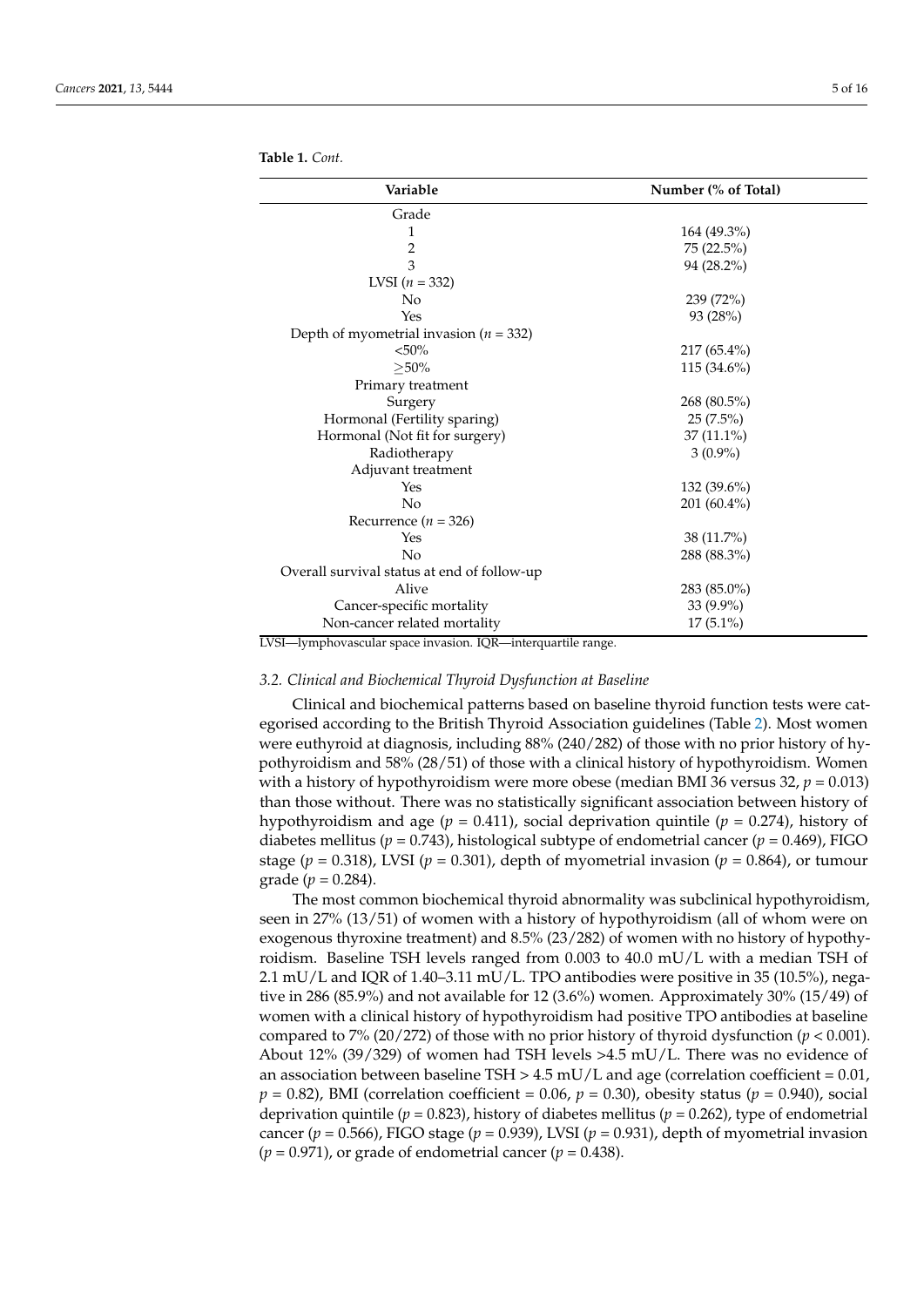**Table 1.** *Cont.*

| Variable                                    | Number (% of Total) |
|---------------------------------------------|---------------------|
| Grade                                       |                     |
| 1                                           | 164 (49.3%)         |
| $\overline{2}$                              | 75 (22.5%)          |
| 3                                           | 94 (28.2%)          |
| LVSI $(n = 332)$                            |                     |
| No                                          | 239(72%)            |
| Yes                                         | 93 (28%)            |
| Depth of myometrial invasion ( $n = 332$ )  |                     |
| $< 50\%$                                    | $217(65.4\%)$       |
| $\geq$ 50%                                  | $115(34.6\%)$       |
| Primary treatment                           |                     |
| Surgery                                     | 268 (80.5%)         |
| Hormonal (Fertility sparing)                | $25(7.5\%)$         |
| Hormonal (Not fit for surgery)              | $37(11.1\%)$        |
| Radiotherapy                                | $3(0.9\%)$          |
| Adjuvant treatment                          |                     |
| Yes                                         | $132(39.6\%)$       |
| No                                          | 201 (60.4%)         |
| Recurrence ( $n = 326$ )                    |                     |
| Yes                                         | $38(11.7\%)$        |
| No                                          | 288 (88.3%)         |
| Overall survival status at end of follow-up |                     |
| Alive                                       | 283 (85.0%)         |
| Cancer-specific mortality                   | $33(9.9\%)$         |
| Non-cancer related mortality                | $17(5.1\%)$         |

LVSI—lymphovascular space invasion. IQR—interquartile range.

#### *3.2. Clinical and Biochemical Thyroid Dysfunction at Baseline*

Clinical and biochemical patterns based on baseline thyroid function tests were categorised according to the British Thyroid Association guidelines (Table [2\)](#page-5-0). Most women were euthyroid at diagnosis, including 88% (240/282) of those with no prior history of hypothyroidism and 58% (28/51) of those with a clinical history of hypothyroidism. Women with a history of hypothyroidism were more obese (median BMI 36 versus 32, *p* = 0.013) than those without. There was no statistically significant association between history of hypothyroidism and age (*p* = 0.411), social deprivation quintile (*p* = 0.274), history of diabetes mellitus ( $p = 0.743$ ), histological subtype of endometrial cancer ( $p = 0.469$ ), FIGO stage ( $p = 0.318$ ), LVSI ( $p = 0.301$ ), depth of myometrial invasion ( $p = 0.864$ ), or tumour grade ( $p = 0.284$ ).

The most common biochemical thyroid abnormality was subclinical hypothyroidism, seen in 27% (13/51) of women with a history of hypothyroidism (all of whom were on exogenous thyroxine treatment) and 8.5% (23/282) of women with no history of hypothyroidism. Baseline TSH levels ranged from 0.003 to 40.0 mU/L with a median TSH of 2.1 mU/L and IQR of 1.40–3.11 mU/L. TPO antibodies were positive in 35 (10.5%), negative in 286 (85.9%) and not available for 12 (3.6%) women. Approximately 30% (15/49) of women with a clinical history of hypothyroidism had positive TPO antibodies at baseline compared to 7% (20/272) of those with no prior history of thyroid dysfunction (*p* < 0.001). About 12% (39/329) of women had TSH levels >4.5 mU/L. There was no evidence of an association between baseline TSH  $> 4.5$  mU/L and age (correlation coefficient = 0.01,  $p = 0.82$ ), BMI (correlation coefficient = 0.06,  $p = 0.30$ ), obesity status ( $p = 0.940$ ), social deprivation quintile ( $p = 0.823$ ), history of diabetes mellitus ( $p = 0.262$ ), type of endometrial cancer ( $p = 0.566$ ), FIGO stage ( $p = 0.939$ ), LVSI ( $p = 0.931$ ), depth of myometrial invasion  $(p = 0.971)$ , or grade of endometrial cancer  $(p = 0.438)$ .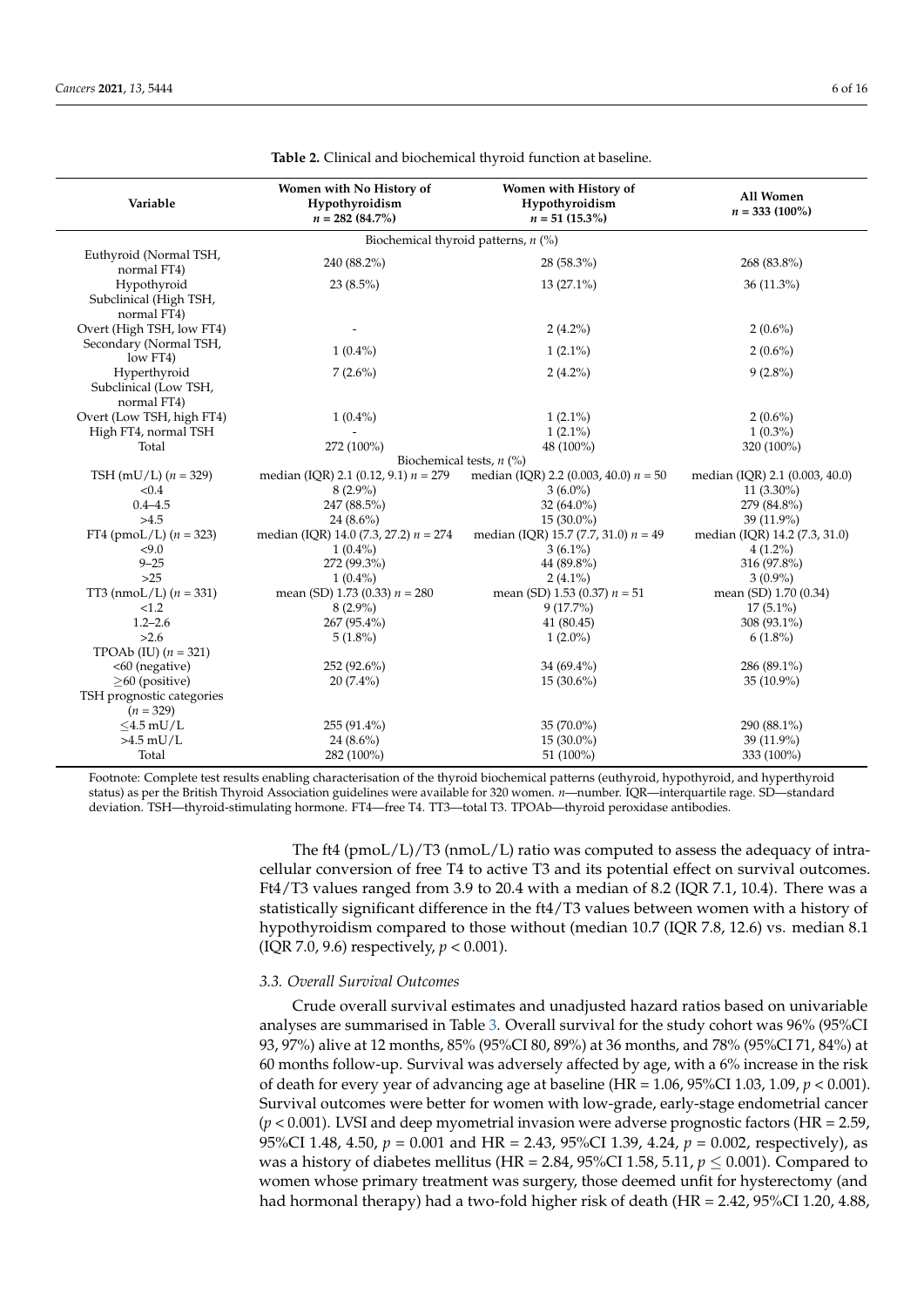<span id="page-5-0"></span>

| Variable                                             | Women with No History of<br>Hypothyroidism<br>$n = 282 (84.7\%)$ | Women with History of<br>Hypothyroidism<br>$n = 51 (15.3\%)$ | All Women<br>$n = 333(100\%)$  |
|------------------------------------------------------|------------------------------------------------------------------|--------------------------------------------------------------|--------------------------------|
|                                                      |                                                                  | Biochemical thyroid patterns, $n$ (%)                        |                                |
| Euthyroid (Normal TSH,<br>normal FT4)                | 240 (88.2%)                                                      | 28 (58.3%)                                                   | 268 (83.8%)                    |
| Hypothyroid<br>Subclinical (High TSH,<br>normal FT4) | 23 $(8.5\%)$                                                     | 13 (27.1%)                                                   | 36 (11.3%)                     |
| Overt (High TSH, low FT4)                            |                                                                  | $2(4.2\%)$                                                   | $2(0.6\%)$                     |
| Secondary (Normal TSH,<br>low FT4)                   | $1(0.4\%)$                                                       | $1(2.1\%)$                                                   | $2(0.6\%)$                     |
| Hyperthyroid<br>Subclinical (Low TSH,<br>normal FT4) | $7(2.6\%)$                                                       | $2(4.2\%)$                                                   | $9(2.8\%)$                     |
| Overt (Low TSH, high FT4)                            | $1(0.4\%)$                                                       | $1(2.1\%)$                                                   | $2(0.6\%)$                     |
| High FT4, normal TSH                                 |                                                                  | $1(2.1\%)$                                                   | $1(0.3\%)$                     |
| Total                                                | 272 (100%)<br>Biochemical tests, $n$ (%)                         | 48 (100%)                                                    | 320 (100%)                     |
| TSH (mU/L) $(n = 329)$                               | median (IQR) 2.1 (0.12, 9.1) $n = 279$                           | median (IQR) 2.2 (0.003, 40.0) $n = 50$                      | median (IQR) 2.1 (0.003, 40.0) |
| < 0.4                                                | $8(2.9\%)$                                                       | $3(6.0\%)$                                                   | $11(3.30\%)$                   |
| $0.4 - 4.5$                                          | 247 (88.5%)                                                      | 32 (64.0%)                                                   | 279 (84.8%)                    |
| >4.5                                                 | $24(8.6\%)$                                                      | $15(30.0\%)$                                                 | $39(11.9\%)$                   |
| FT4 (pmoL/L) $(n = 323)$                             | median (IQR) 14.0 (7.3, 27.2) $n = 274$                          | median (IQR) 15.7 (7.7, 31.0) $n = 49$                       | median (IQR) 14.2 (7.3, 31.0)  |
| < 9.0                                                | $1(0.4\%)$                                                       | $3(6.1\%)$                                                   | $4(1.2\%)$                     |
| $9 - 25$                                             | 272 (99.3%)                                                      | 44 (89.8%)                                                   | 316 (97.8%)                    |
| >25                                                  | $1(0.4\%)$                                                       | $2(4.1\%)$                                                   | $3(0.9\%)$                     |
| TT3 (nmoL/L) $(n = 331)$                             | mean (SD) 1.73 (0.33) $n = 280$                                  | mean (SD) 1.53 (0.37) $n = 51$                               | mean (SD) 1.70 (0.34)          |
| < 1.2                                                | $8(2.9\%)$                                                       | $9(17.7\%)$                                                  | $17(5.1\%)$                    |
| $1.2 - 2.6$                                          | 267 (95.4%)                                                      | 41 (80.45)                                                   | 308 (93.1%)                    |
| >2.6                                                 | $5(1.8\%)$                                                       | $1(2.0\%)$                                                   | $6(1.8\%)$                     |
| TPOAb (IU) $(n = 321)$                               |                                                                  |                                                              |                                |
| <60 (negative)                                       | 252 (92.6%)                                                      | 34 (69.4%)                                                   | 286 (89.1%)                    |
| $>60$ (positive)                                     | $20(7.4\%)$                                                      | $15(30.6\%)$                                                 | $35(10.9\%)$                   |
| TSH prognostic categories                            |                                                                  |                                                              |                                |
| $(n = 329)$                                          |                                                                  |                                                              |                                |
| $<$ 4.5 mU/L                                         | 255 (91.4%)                                                      | 35 (70.0%)                                                   | 290 (88.1%)                    |
| $>4.5$ mU/L                                          | $24(8.6\%)$                                                      | $15(30.0\%)$                                                 | 39 (11.9%)                     |
| Total                                                | 282 (100%)                                                       | 51 (100%)                                                    | 333 (100%)                     |

|  | <b>Table 2.</b> Clinical and biochemical thyroid function at baseline. |  |
|--|------------------------------------------------------------------------|--|
|--|------------------------------------------------------------------------|--|

Footnote: Complete test results enabling characterisation of the thyroid biochemical patterns (euthyroid, hypothyroid, and hyperthyroid status) as per the British Thyroid Association guidelines were available for 320 women. *n*—number. IQR—interquartile rage. SD—standard deviation. TSH—thyroid-stimulating hormone. FT4—free T4. TT3—total T3. TPOAb—thyroid peroxidase antibodies.

> The ft4 (pmoL/L)/T3 (nmoL/L) ratio was computed to assess the adequacy of intracellular conversion of free T4 to active T3 and its potential effect on survival outcomes. Ft4/T3 values ranged from 3.9 to 20.4 with a median of 8.2 (IQR 7.1, 10.4). There was a statistically significant difference in the ft4/T3 values between women with a history of hypothyroidism compared to those without (median 10.7 (IQR 7.8, 12.6) vs. median 8.1 (IQR 7.0, 9.6) respectively, *p* < 0.001).

# *3.3. Overall Survival Outcomes*

Crude overall survival estimates and unadjusted hazard ratios based on univariable analyses are summarised in Table [3.](#page-6-0) Overall survival for the study cohort was 96% (95%CI 93, 97%) alive at 12 months, 85% (95%CI 80, 89%) at 36 months, and 78% (95%CI 71, 84%) at 60 months follow-up. Survival was adversely affected by age, with a 6% increase in the risk of death for every year of advancing age at baseline (HR = 1.06, 95%CI 1.03, 1.09, *p* < 0.001). Survival outcomes were better for women with low-grade, early-stage endometrial cancer (*p* < 0.001). LVSI and deep myometrial invasion were adverse prognostic factors (HR = 2.59, 95%CI 1.48, 4.50, *p* = 0.001 and HR = 2.43, 95%CI 1.39, 4.24, *p* = 0.002, respectively), as was a history of diabetes mellitus (HR = 2.84, 95%CI 1.58, 5.11,  $p \le 0.001$ ). Compared to women whose primary treatment was surgery, those deemed unfit for hysterectomy (and had hormonal therapy) had a two-fold higher risk of death (HR = 2.42, 95%CI 1.20, 4.88,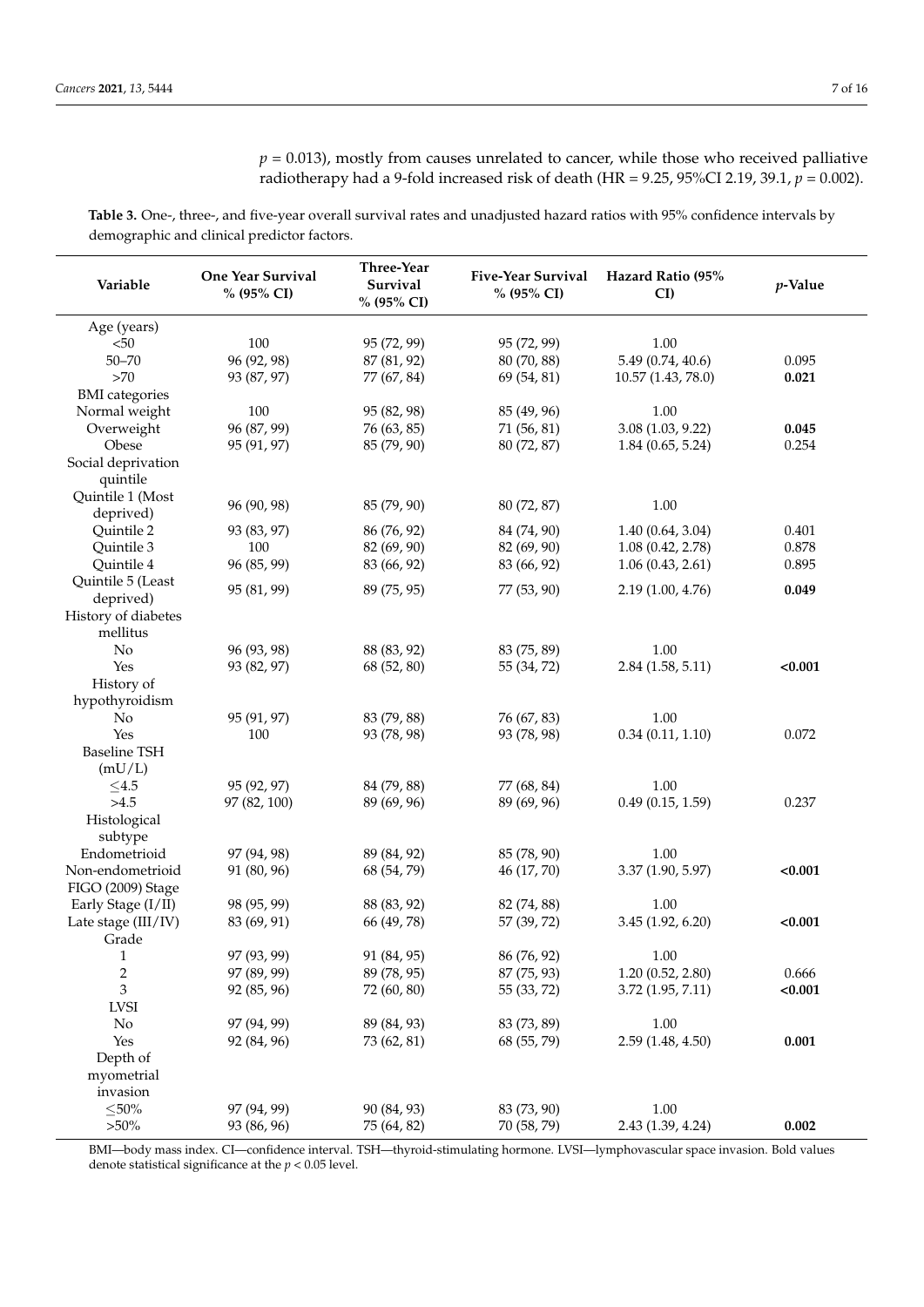<span id="page-6-0"></span>**Table 3.** One-, three-, and five-year overall survival rates and unadjusted hazard ratios with 95% confidence intervals by demographic and clinical predictor factors.

| Variable                | One Year Survival<br>% (95% CI) | Three-Year<br>Survival<br>% (95% CI) | <b>Five-Year Survival</b><br>% (95% CI) | Hazard Ratio (95%<br>CI | p-Value |
|-------------------------|---------------------------------|--------------------------------------|-----------------------------------------|-------------------------|---------|
| Age (years)             |                                 |                                      |                                         |                         |         |
| < 50                    | 100                             | 95 (72, 99)                          | 95 (72, 99)                             | 1.00                    |         |
| $50 - 70$               | 96 (92, 98)                     | 87 (81, 92)                          | 80 (70, 88)                             | 5.49 (0.74, 40.6)       | 0.095   |
| $>70$                   | 93 (87, 97)                     | 77 (67, 84)                          | 69 (54, 81)                             | 10.57(1.43, 78.0)       | 0.021   |
| <b>BMI</b> categories   |                                 |                                      |                                         |                         |         |
| Normal weight           | 100                             | 95 (82, 98)                          | 85 (49, 96)                             | 1.00                    |         |
| Overweight              | 96 (87, 99)                     | 76 (63, 85)                          | 71 (56, 81)                             | 3.08(1.03, 9.22)        | 0.045   |
| Obese                   | 95 (91, 97)                     | 85 (79, 90)                          | 80 (72, 87)                             | 1.84(0.65, 5.24)        | 0.254   |
| Social deprivation      |                                 |                                      |                                         |                         |         |
| quintile                |                                 |                                      |                                         |                         |         |
| Quintile 1 (Most        |                                 |                                      |                                         |                         |         |
| deprived)               | 96 (90, 98)                     | 85 (79, 90)                          | 80 (72, 87)                             | 1.00                    |         |
| Quintile 2              | 93 (83, 97)                     | 86 (76, 92)                          | 84 (74, 90)                             | 1.40(0.64, 3.04)        | 0.401   |
| Quintile 3              | 100                             | 82 (69, 90)                          | 82 (69, 90)                             | 1.08(0.42, 2.78)        | 0.878   |
| Quintile 4              | 96 (85, 99)                     | 83 (66, 92)                          | 83 (66, 92)                             | 1.06(0.43, 2.61)        | 0.895   |
| Quintile 5 (Least       | 95 (81, 99)                     | 89 (75, 95)                          | 77 (53, 90)                             | 2.19(1.00, 4.76)        | 0.049   |
| deprived)               |                                 |                                      |                                         |                         |         |
| History of diabetes     |                                 |                                      |                                         |                         |         |
| mellitus                |                                 |                                      |                                         |                         |         |
| No                      | 96 (93, 98)                     | 88 (83, 92)                          | 83 (75, 89)                             | 1.00                    |         |
| Yes                     | 93 (82, 97)                     | 68 (52, 80)                          | 55 (34, 72)                             | 2.84(1.58, 5.11)        | < 0.001 |
| History of              |                                 |                                      |                                         |                         |         |
| hypothyroidism          |                                 |                                      |                                         |                         |         |
| No                      | 95 (91, 97)                     | 83 (79, 88)                          | 76 (67, 83)                             | 1.00                    |         |
| Yes                     | 100                             | 93 (78, 98)                          | 93 (78, 98)                             | 0.34(0.11, 1.10)        | 0.072   |
| <b>Baseline TSH</b>     |                                 |                                      |                                         |                         |         |
| (mU/L)                  |                                 |                                      |                                         |                         |         |
| $\leq4.5$<br>>4.5       | 95 (92, 97)                     | 84 (79, 88)                          | 77 (68, 84)                             | 1.00                    |         |
|                         | 97 (82, 100)                    | 89 (69, 96)                          | 89 (69, 96)                             | 0.49(0.15, 1.59)        | 0.237   |
| Histological<br>subtype |                                 |                                      |                                         |                         |         |
| Endometrioid            | 97 (94, 98)                     | 89 (84, 92)                          | 85 (78, 90)                             | 1.00                    |         |
| Non-endometrioid        | 91 (80, 96)                     | 68 (54, 79)                          | 46 (17, 70)                             | 3.37 (1.90, 5.97)       | < 0.001 |
| FIGO (2009) Stage       |                                 |                                      |                                         |                         |         |
| Early Stage (I/II)      | 98 (95, 99)                     | 88 (83, 92)                          | 82 (74, 88)                             | 1.00                    |         |
| Late stage (III/IV)     | 83 (69, 91)                     | 66 (49, 78)                          | 57 (39, 72)                             | 3.45 (1.92, 6.20)       | < 0.001 |
| Grade                   |                                 |                                      |                                         |                         |         |
| 1                       | 97 (93, 99)                     | 91 (84, 95)                          | 86 (76, 92)                             | 1.00                    |         |
| $\sqrt{2}$              | 97 (89, 99)                     | 89 (78, 95)                          | 87 (75, 93)                             | 1.20(0.52, 2.80)        | 0.666   |
| 3                       | 92 (85, 96)                     | 72 (60, 80)                          | 55 (33, 72)                             | 3.72(1.95, 7.11)        | < 0.001 |
| <b>LVSI</b>             |                                 |                                      |                                         |                         |         |
| No                      | 97 (94, 99)                     | 89 (84, 93)                          | 83 (73, 89)                             | 1.00                    |         |
| Yes                     | 92 (84, 96)                     | 73 (62, 81)                          | 68 (55, 79)                             | 2.59 (1.48, 4.50)       | 0.001   |
| Depth of                |                                 |                                      |                                         |                         |         |
| myometrial              |                                 |                                      |                                         |                         |         |
| invasion                |                                 |                                      |                                         |                         |         |
| ${\le}50\%$             | 97 (94, 99)                     | 90 (84, 93)                          | 83 (73, 90)                             | 1.00                    |         |
| $>50\%$                 | 93 (86, 96)                     | 75 (64, 82)                          | 70 (58, 79)                             | 2.43 (1.39, 4.24)       | 0.002   |

BMI—body mass index. CI—confidence interval. TSH—thyroid-stimulating hormone. LVSI—lymphovascular space invasion. Bold values denote statistical significance at the *p* < 0.05 level.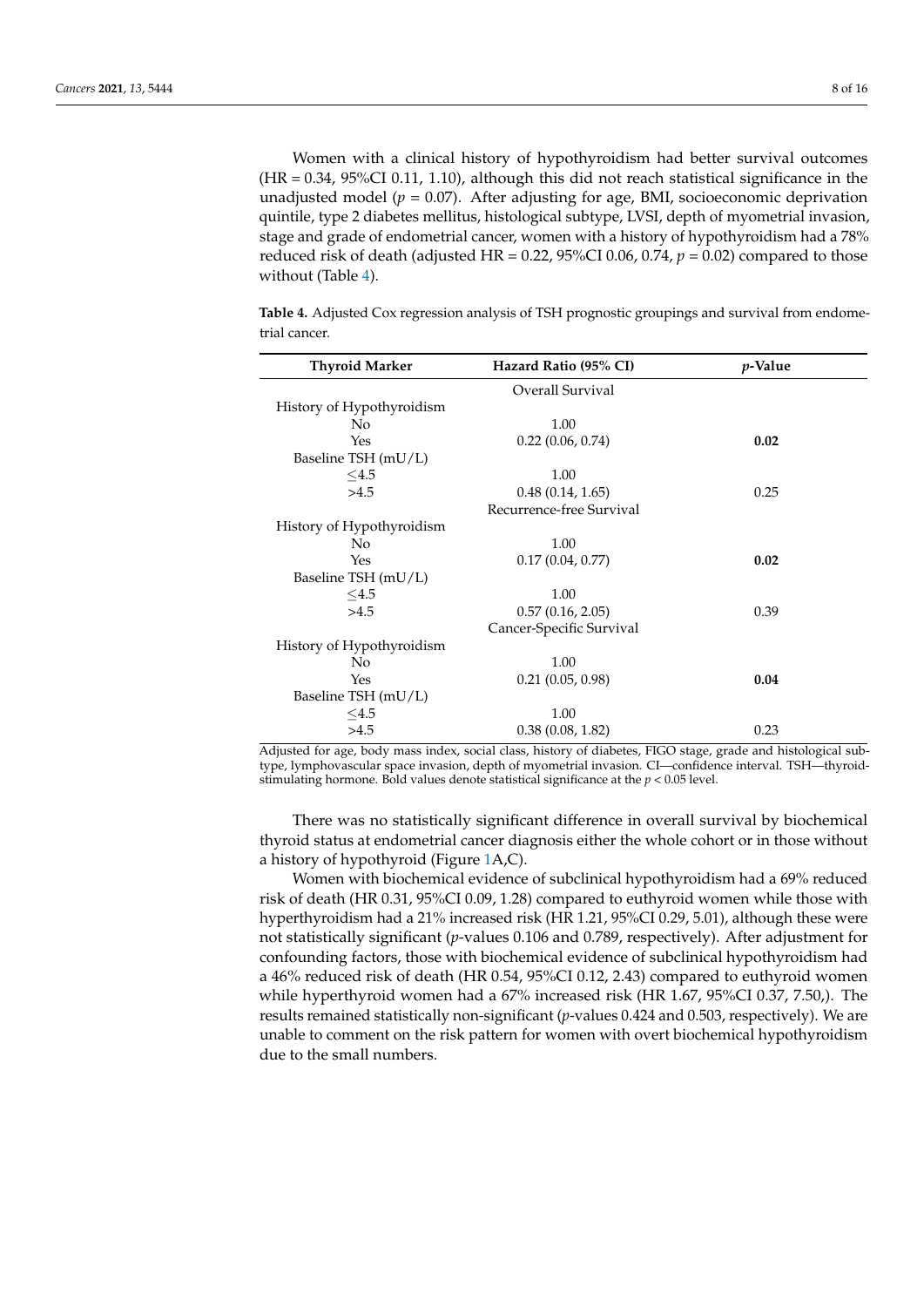Women with a clinical history of hypothyroidism had better survival outcomes (HR = 0.34, 95%CI 0.11, 1.10), although this did not reach statistical significance in the unadjusted model ( $p = 0.07$ ). After adjusting for age, BMI, socioeconomic deprivation quintile, type 2 diabetes mellitus, histological subtype, LVSI, depth of myometrial invasion, stage and grade of endometrial cancer, women with a history of hypothyroidism had a 78% reduced risk of death (adjusted HR = 0.22, 95%CI 0.06, 0.74, *p* = 0.02) compared to those without (Table [4\)](#page-7-0).

<span id="page-7-0"></span>**Table 4.** Adjusted Cox regression analysis of TSH prognostic groupings and survival from endometrial cancer.

| <b>Thyroid Marker</b>     | Hazard Ratio (95% CI)    | <i>p</i> -Value |
|---------------------------|--------------------------|-----------------|
|                           | Overall Survival         |                 |
| History of Hypothyroidism |                          |                 |
| No                        | 1.00                     |                 |
| Yes                       | $0.22$ (0.06, 0.74)      | 0.02            |
| Baseline TSH (mU/L)       |                          |                 |
| $<$ 4.5                   | 1.00                     |                 |
| >4.5                      | 0.48(0.14, 1.65)         | 0.25            |
|                           | Recurrence-free Survival |                 |
| History of Hypothyroidism |                          |                 |
| N <sub>0</sub>            | 1.00                     |                 |
| Yes                       | 0.17(0.04, 0.77)         | 0.02            |
| Baseline TSH (mU/L)       |                          |                 |
| $<$ 4.5                   | 1.00                     |                 |
| >4.5                      | 0.57(0.16, 2.05)         | 0.39            |
|                           | Cancer-Specific Survival |                 |
| History of Hypothyroidism |                          |                 |
| N <sub>0</sub>            | 1.00                     |                 |
| Yes                       | $0.21$ $(0.05, 0.98)$    | 0.04            |
| Baseline TSH (mU/L)       |                          |                 |
| $<$ 4.5                   | 1.00                     |                 |
| >4.5                      | 0.38(0.08, 1.82)         | 0.23            |

Adjusted for age, body mass index, social class, history of diabetes, FIGO stage, grade and histological subtype, lymphovascular space invasion, depth of myometrial invasion. CI—confidence interval. TSH—thyroidstimulating hormone. Bold values denote statistical significance at the *p* < 0.05 level.

There was no statistically significant difference in overall survival by biochemical thyroid status at endometrial cancer diagnosis either the whole cohort or in those without a history of hypothyroid (Figure [1A](#page-8-0),C).

Women with biochemical evidence of subclinical hypothyroidism had a 69% reduced risk of death (HR 0.31, 95%CI 0.09, 1.28) compared to euthyroid women while those with hyperthyroidism had a 21% increased risk (HR 1.21, 95%CI 0.29, 5.01), although these were not statistically significant (*p*-values 0.106 and 0.789, respectively). After adjustment for confounding factors, those with biochemical evidence of subclinical hypothyroidism had a 46% reduced risk of death (HR 0.54, 95%CI 0.12, 2.43) compared to euthyroid women while hyperthyroid women had a 67% increased risk (HR 1.67, 95%CI 0.37, 7.50,). The results remained statistically non-significant (*p*-values 0.424 and 0.503, respectively). We are unable to comment on the risk pattern for women with overt biochemical hypothyroidism due to the small numbers.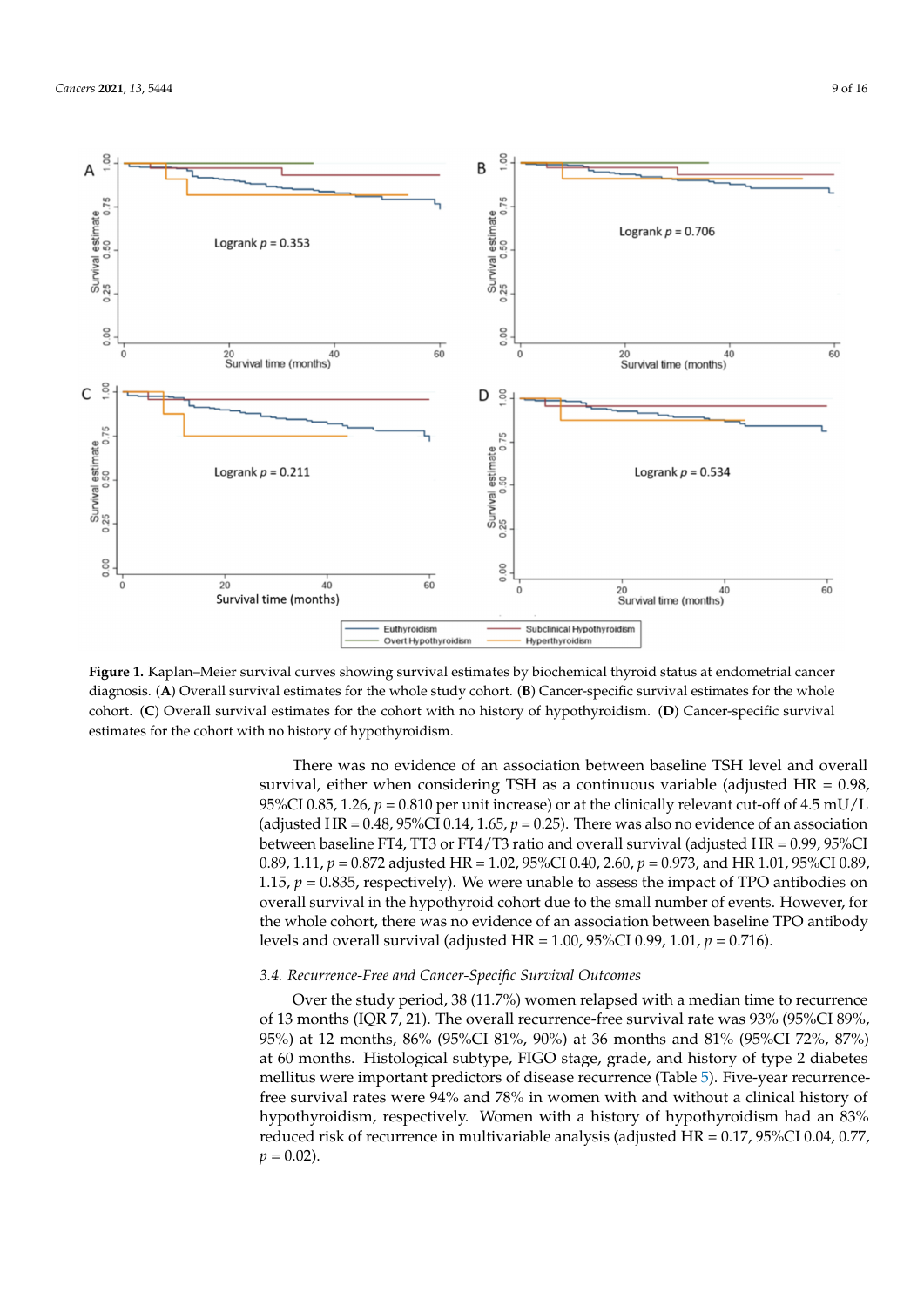<span id="page-8-0"></span>

Figure 1. Kaplan-Meier survival curves showing survival estimates by biochemical thyroid status at endometrial cancer diagnosis. (A) Overall survival estimates for the whole study cohort. (B) Cancer-specific survival estimates for the whole cohort. (C) Overall survival estimates for the cohort with no history of hypothyroidism. (D) Cancer-specific survival mates for the cohort with no history of hypothyroidism. estimates for the cohort with no history of hypothyroidism.

There was no evidence of an association between baseline TSH level and overall survival, either when considering TSH as a continuous variable (adjusted HR =  $0.98$ , 95%CI 0.85, 1.26,  $p = 0.810$  per unit increase) or at the clinically relevant cut-off of 4.5 mU/L (adjusted HR = 0.48, 95%CI 0.14, 1.65,  $p = 0.25$ ). There was also no evidence of an association between baseline FT4, TT3 or FT4/T3 ratio and overall survival (adjusted HR = 0.99, 95%CI 0.89, 1.11,  $p = 0.872$  adjusted HR = 1.02, 95%CI 0.40, 2.60,  $p = 0.973$ , and HR 1.01, 95%CI 0.89, 1.15,  $p = 0.835$ , respectively). We were unable to assess the impact of TPO antibodies on overall survival in the hypothyroid cohort due to the small number of events. However, for the whole cohort, there was no evidence of an association between baseline TPO antibody levels and overall survival (adjusted HR = 1.00, 95%CI 0.99, 1.01,  $p = 0.716$ ).

# 3.4. Recurrence-Free and Cancer-Specific Survival Outcomes

Over the study period, 38 (11.7%) women relapsed with a median time to recurrence of 13 months (IQR 7, 21). The overall recurrence-free survival rate was 93% (95%CI 89%, of 13 months (IQR 7, 21). The overall recurrence-free survival rate was 93% (95%CI 89%, 95%) at 12 months, 86% (95%CI 81%, 90%) at 36 months and 81% (95%CI 72%, 87%) at 60 months. Histological subtype, FIGO stage, grade, and history of type 2 diabetes at 60 months. Histological subtype, FIGO stage, grade, and history of type 2 diabetes mellitus were important predictors of disease recurrence (Table 5). Five-year recurrencefree survival rates were 94% and 78% in women with and without a clinical history of hypothyroidism, respectively. Women with a history of hypothyroidism had an 83% reduced risk of recurrence in multivariable analysis (adjusted HR = 0.17, 95%CI 0.04, 0.77,  $p = 0.02$ ).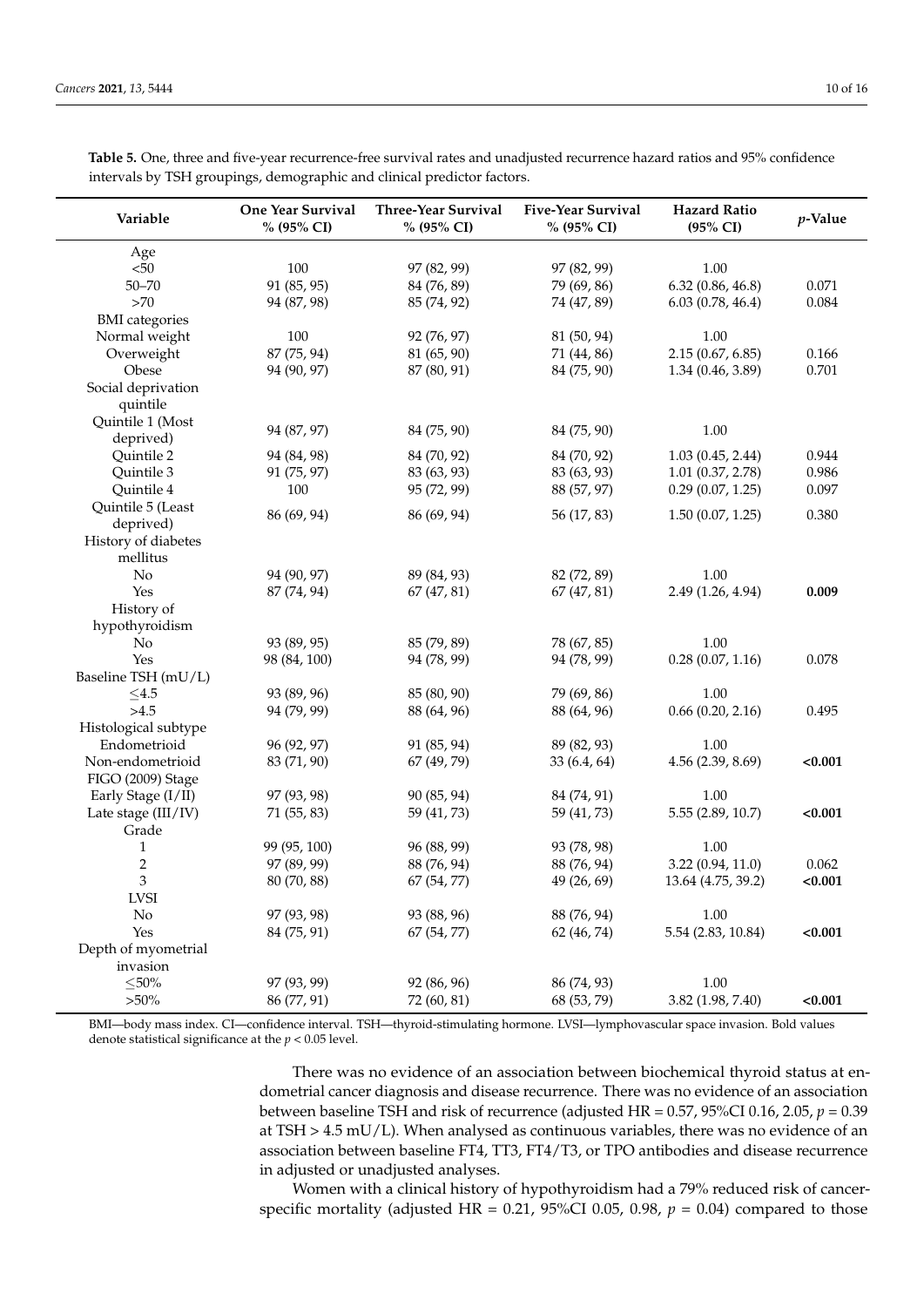Depth of myometrial invasion

| Variable              | <b>One Year Survival</b><br>% (95% CI) | <b>Three-Year Survival</b><br>% (95% CI) | <b>Five-Year Survival</b><br>% (95% CI) | <b>Hazard Ratio</b><br>$(95\% \text{ CI})$ | $p$ -Value |
|-----------------------|----------------------------------------|------------------------------------------|-----------------------------------------|--------------------------------------------|------------|
| Age                   |                                        |                                          |                                         |                                            |            |
| < 50                  | 100                                    | 97 (82, 99)                              | 97 (82, 99)                             | 1.00                                       |            |
| $50 - 70$             | 91 (85, 95)                            | 84 (76, 89)                              | 79 (69, 86)                             | 6.32(0.86, 46.8)                           | 0.071      |
| $>70$                 | 94 (87, 98)                            | 85 (74, 92)                              | 74 (47, 89)                             | 6.03(0.78, 46.4)                           | 0.084      |
| <b>BMI</b> categories |                                        |                                          |                                         |                                            |            |
| Normal weight         | 100                                    | 92 (76, 97)                              | 81 (50, 94)                             | 1.00                                       |            |
| Overweight            | 87 (75, 94)                            | 81 (65, 90)                              | 71 (44, 86)                             | 2.15(0.67, 6.85)                           | 0.166      |
| Obese                 | 94 (90, 97)                            | 87 (80, 91)                              | 84 (75, 90)                             | 1.34(0.46, 3.89)                           | 0.701      |
| Social deprivation    |                                        |                                          |                                         |                                            |            |
| quintile              |                                        |                                          |                                         |                                            |            |
| Quintile 1 (Most      |                                        |                                          |                                         |                                            |            |
| deprived)             | 94 (87, 97)                            | 84 (75, 90)                              | 84 (75, 90)                             | 1.00                                       |            |
| Quintile 2            | 94 (84, 98)                            | 84 (70, 92)                              | 84 (70, 92)                             | 1.03(0.45, 2.44)                           | 0.944      |
| Quintile 3            | 91 (75, 97)                            | 83 (63, 93)                              | 83 (63, 93)                             | 1.01(0.37, 2.78)                           | 0.986      |
| Quintile 4            | 100                                    | 95 (72, 99)                              | 88 (57, 97)                             | 0.29(0.07, 1.25)                           | 0.097      |
| Quintile 5 (Least     |                                        |                                          |                                         |                                            |            |
| deprived)             | 86 (69, 94)                            | 86 (69, 94)                              | 56 (17, 83)                             | 1.50(0.07, 1.25)                           | 0.380      |
| History of diabetes   |                                        |                                          |                                         |                                            |            |
| mellitus              |                                        |                                          |                                         |                                            |            |
| No                    | 94 (90, 97)                            | 89 (84, 93)                              | 82 (72, 89)                             | 1.00                                       |            |
| Yes                   | 87 (74, 94)                            | 67(47, 81)                               | 67(47, 81)                              | 2.49 (1.26, 4.94)                          | 0.009      |
| History of            |                                        |                                          |                                         |                                            |            |
| hypothyroidism        |                                        |                                          |                                         |                                            |            |
| No                    | 93 (89, 95)                            | 85 (79, 89)                              | 78 (67, 85)                             | 1.00                                       |            |
| Yes                   | 98 (84, 100)                           | 94 (78, 99)                              | 94 (78, 99)                             | 0.28(0.07, 1.16)                           | 0.078      |
| Baseline TSH (mU/L)   |                                        |                                          |                                         |                                            |            |
| ${\le}4.5$            | 93 (89, 96)                            | 85 (80, 90)                              | 79 (69, 86)                             | 1.00                                       |            |
| >4.5                  | 94 (79, 99)                            | 88 (64, 96)                              | 88 (64, 96)                             | 0.66(0.20, 2.16)                           | 0.495      |
| Histological subtype  |                                        |                                          |                                         |                                            |            |
| Endometrioid          | 96 (92, 97)                            | 91 (85, 94)                              | 89 (82, 93)                             | 1.00                                       |            |
| Non-endometrioid      | 83 (71, 90)                            | 67 (49, 79)                              | 33 (6.4, 64)                            | 4.56 (2.39, 8.69)                          | < 0.001    |
| FIGO (2009) Stage     |                                        |                                          |                                         |                                            |            |
| Early Stage (I/II)    | 97 (93, 98)                            | 90 (85, 94)                              | 84 (74, 91)                             | 1.00                                       |            |
| Late stage (III/IV)   | 71 (55, 83)                            | 59 (41, 73)                              | 59 (41, 73)                             | 5.55 (2.89, 10.7)                          | < 0.001    |
| Grade                 |                                        |                                          |                                         |                                            |            |
| $\mathbf{1}$          | 99 (95, 100)                           | 96 (88, 99)                              | 93 (78, 98)                             | 1.00                                       |            |
| $\overline{c}$        | 97 (89, 99)                            | 88 (76, 94)                              | 88 (76, 94)                             | 3.22 (0.94, 11.0)                          | 0.062      |
| 3                     | 80 (70, 88)                            | 67 (54, 77)                              | 49 (26, 69)                             | 13.64 (4.75, 39.2)                         | < 0.001    |
| <b>LVSI</b>           |                                        |                                          |                                         |                                            |            |
| No                    | 97 (93, 98)                            | 93 (88, 96)                              | 88 (76, 94)                             | 1.00                                       |            |
| Yes                   | 84 (75, 91)                            | 67 (54, 77)                              | 62 (46, 74)                             | 5.54 (2.83, 10.84)                         | < 0.001    |

<span id="page-9-0"></span>**Table 5.** One, three and five-year recurrence-free survival rates and unadjusted recurrence hazard ratios and 95% confidence intervals by TSH groupings, demographic and clinical predictor factors.

BMI—body mass index. CI—confidence interval. TSH—thyroid-stimulating hormone. LVSI—lymphovascular space invasion. Bold values denote statistical significance at the *p* < 0.05 level.

>50% 86 (77, 91) 72 (60, 81) 68 (53, 79) 3.82 (1.98, 7.40) **<0.001**

 $\leq$ 50% 97 (93, 99) 92 (86, 96) 86 (74, 93) 1.00

There was no evidence of an association between biochemical thyroid status at endometrial cancer diagnosis and disease recurrence. There was no evidence of an association between baseline TSH and risk of recurrence (adjusted HR = 0.57, 95%CI 0.16, 2.05, *p* = 0.39 at  $TSH > 4.5$  mU/L). When analysed as continuous variables, there was no evidence of an association between baseline FT4, TT3, FT4/T3, or TPO antibodies and disease recurrence in adjusted or unadjusted analyses.

Women with a clinical history of hypothyroidism had a 79% reduced risk of cancerspecific mortality (adjusted HR =  $0.21$ ,  $95\%$ CI 0.05, 0.98,  $p = 0.04$ ) compared to those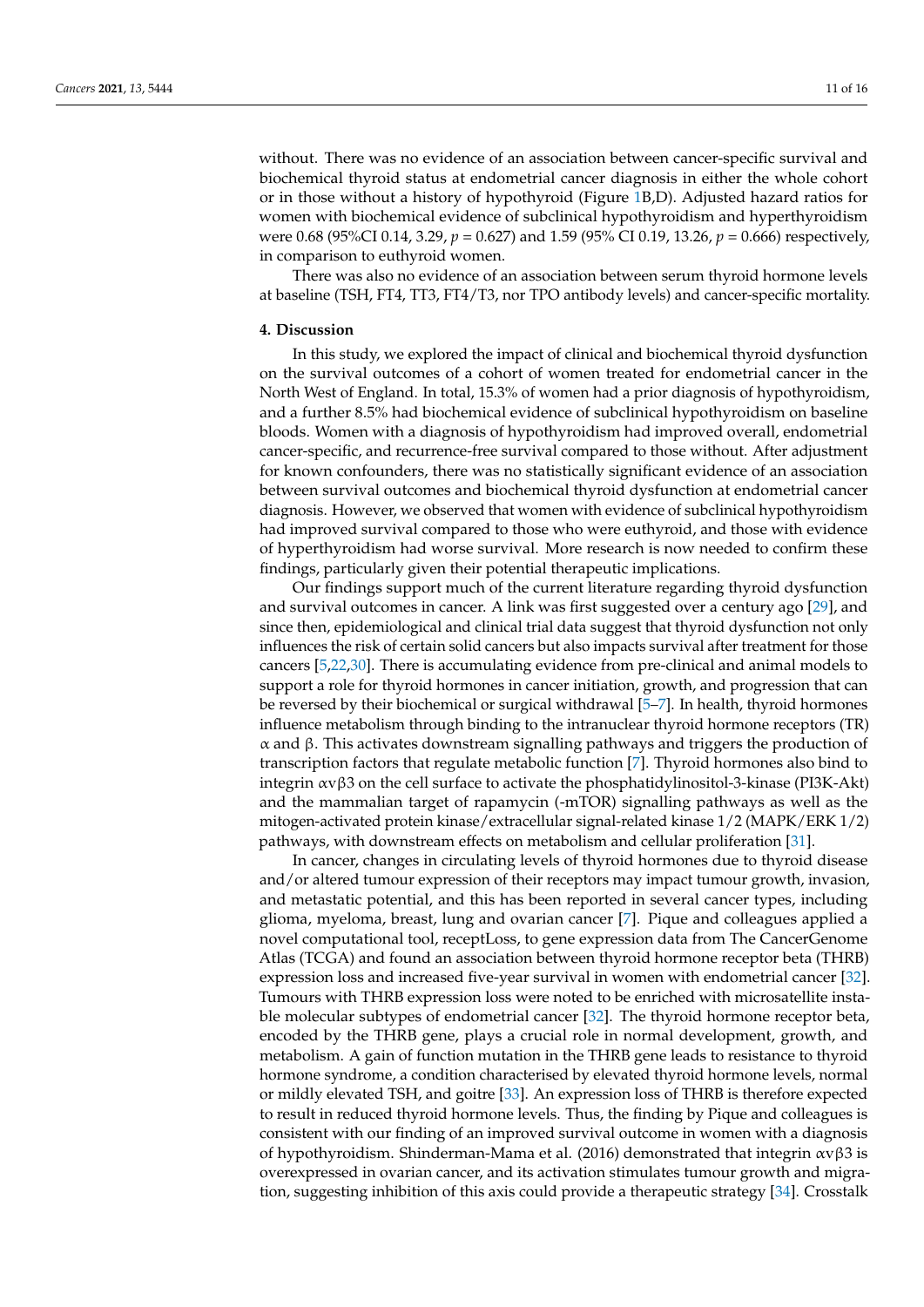without. There was no evidence of an association between cancer-specific survival and biochemical thyroid status at endometrial cancer diagnosis in either the whole cohort or in those without a history of hypothyroid (Figure [1B](#page-8-0),D). Adjusted hazard ratios for women with biochemical evidence of subclinical hypothyroidism and hyperthyroidism were 0.68 (95%CI 0.14, 3.29, *p* = 0.627) and 1.59 (95% CI 0.19, 13.26, *p* = 0.666) respectively, in comparison to euthyroid women.

There was also no evidence of an association between serum thyroid hormone levels at baseline (TSH, FT4, TT3, FT4/T3, nor TPO antibody levels) and cancer-specific mortality.

# **4. Discussion**

In this study, we explored the impact of clinical and biochemical thyroid dysfunction on the survival outcomes of a cohort of women treated for endometrial cancer in the North West of England. In total, 15.3% of women had a prior diagnosis of hypothyroidism, and a further 8.5% had biochemical evidence of subclinical hypothyroidism on baseline bloods. Women with a diagnosis of hypothyroidism had improved overall, endometrial cancer-specific, and recurrence-free survival compared to those without. After adjustment for known confounders, there was no statistically significant evidence of an association between survival outcomes and biochemical thyroid dysfunction at endometrial cancer diagnosis. However, we observed that women with evidence of subclinical hypothyroidism had improved survival compared to those who were euthyroid, and those with evidence of hyperthyroidism had worse survival. More research is now needed to confirm these findings, particularly given their potential therapeutic implications.

Our findings support much of the current literature regarding thyroid dysfunction and survival outcomes in cancer. A link was first suggested over a century ago [\[29\]](#page-14-17), and since then, epidemiological and clinical trial data suggest that thyroid dysfunction not only influences the risk of certain solid cancers but also impacts survival after treatment for those cancers [\[5](#page-13-4)[,22](#page-14-10)[,30\]](#page-14-18). There is accumulating evidence from pre-clinical and animal models to support a role for thyroid hormones in cancer initiation, growth, and progression that can be reversed by their biochemical or surgical withdrawal [\[5](#page-13-4)[–7\]](#page-13-5). In health, thyroid hormones influence metabolism through binding to the intranuclear thyroid hormone receptors (TR) α and β. This activates downstream signalling pathways and triggers the production of transcription factors that regulate metabolic function [\[7\]](#page-13-5). Thyroid hormones also bind to integrin  $\alpha v \beta 3$  on the cell surface to activate the phosphatidylinositol-3-kinase (PI3K-Akt) and the mammalian target of rapamycin (-mTOR) signalling pathways as well as the mitogen-activated protein kinase/extracellular signal-related kinase 1/2 (MAPK/ERK 1/2) pathways, with downstream effects on metabolism and cellular proliferation [\[31\]](#page-14-19).

In cancer, changes in circulating levels of thyroid hormones due to thyroid disease and/or altered tumour expression of their receptors may impact tumour growth, invasion, and metastatic potential, and this has been reported in several cancer types, including glioma, myeloma, breast, lung and ovarian cancer [\[7\]](#page-13-5). Pique and colleagues applied a novel computational tool, receptLoss, to gene expression data from The CancerGenome Atlas (TCGA) and found an association between thyroid hormone receptor beta (THRB) expression loss and increased five-year survival in women with endometrial cancer [\[32\]](#page-14-20). Tumours with THRB expression loss were noted to be enriched with microsatellite instable molecular subtypes of endometrial cancer [\[32\]](#page-14-20). The thyroid hormone receptor beta, encoded by the THRB gene, plays a crucial role in normal development, growth, and metabolism. A gain of function mutation in the THRB gene leads to resistance to thyroid hormone syndrome, a condition characterised by elevated thyroid hormone levels, normal or mildly elevated TSH, and goitre [\[33\]](#page-14-21). An expression loss of THRB is therefore expected to result in reduced thyroid hormone levels. Thus, the finding by Pique and colleagues is consistent with our finding of an improved survival outcome in women with a diagnosis of hypothyroidism. Shinderman-Mama et al. (2016) demonstrated that integrin αvβ3 is overexpressed in ovarian cancer, and its activation stimulates tumour growth and migration, suggesting inhibition of this axis could provide a therapeutic strategy [\[34\]](#page-15-0). Crosstalk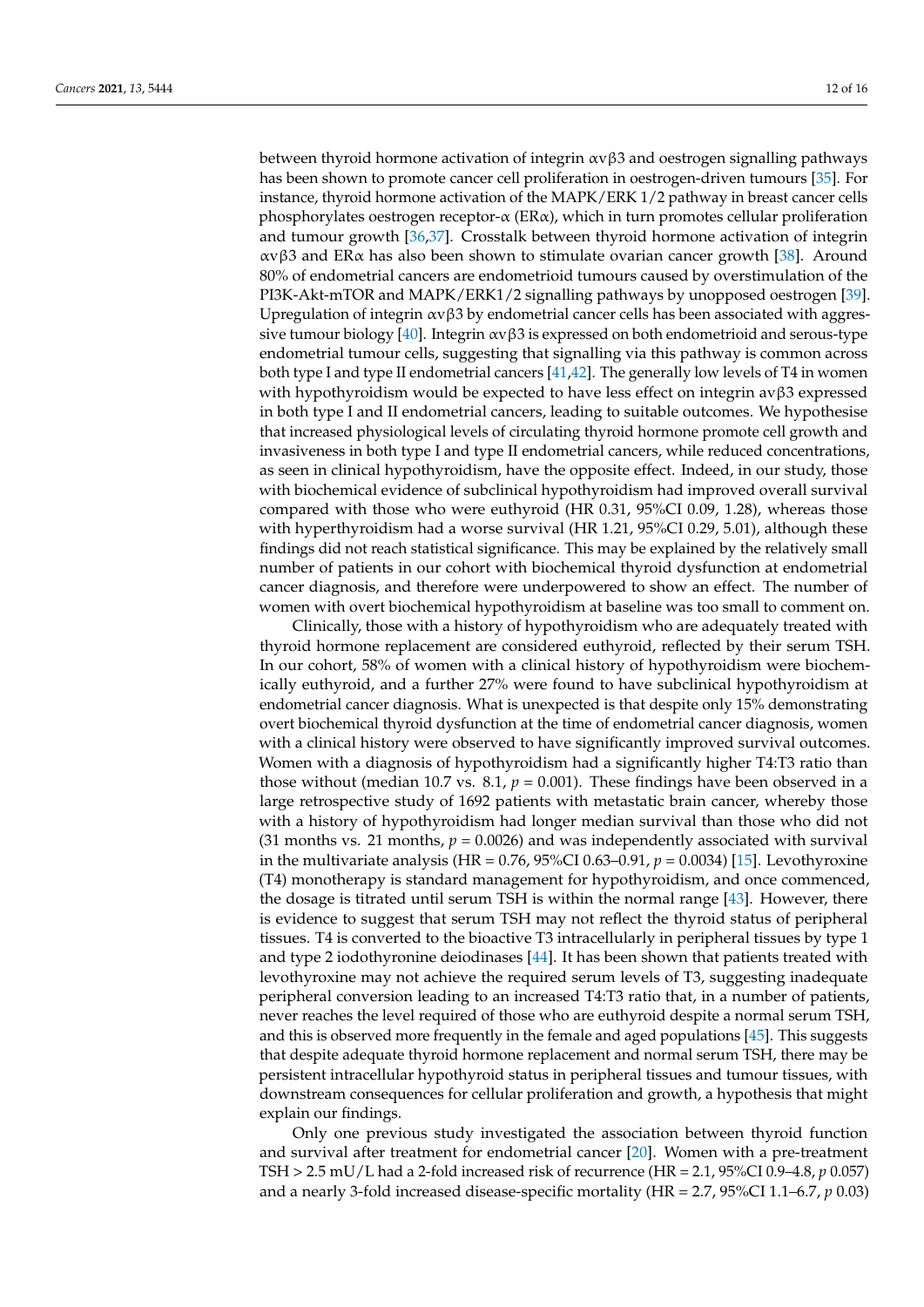between thyroid hormone activation of integrin  $\alpha v \beta 3$  and oestrogen signalling pathways has been shown to promote cancer cell proliferation in oestrogen-driven tumours [\[35\]](#page-15-1). For instance, thyroid hormone activation of the MAPK/ERK 1/2 pathway in breast cancer cells phosphorylates oestrogen receptor-α (ERα), which in turn promotes cellular proliferation and tumour growth [\[36,](#page-15-2)[37\]](#page-15-3). Crosstalk between thyroid hormone activation of integrin αvβ3 and ERα has also been shown to stimulate ovarian cancer growth [\[38\]](#page-15-4). Around 80% of endometrial cancers are endometrioid tumours caused by overstimulation of the PI3K-Akt-mTOR and MAPK/ERK1/2 signalling pathways by unopposed oestrogen [\[39\]](#page-15-5). Upregulation of integrin  $\alpha v \beta 3$  by endometrial cancer cells has been associated with aggres-sive tumour biology [\[40\]](#page-15-6). Integrin  $\alpha \beta 3$  is expressed on both endometrioid and serous-type endometrial tumour cells, suggesting that signalling via this pathway is common across both type I and type II endometrial cancers [\[41,](#page-15-7)[42\]](#page-15-8). The generally low levels of T4 in women with hypothyroidism would be expected to have less effect on integrin avβ3 expressed in both type I and II endometrial cancers, leading to suitable outcomes. We hypothesise that increased physiological levels of circulating thyroid hormone promote cell growth and invasiveness in both type I and type II endometrial cancers, while reduced concentrations, as seen in clinical hypothyroidism, have the opposite effect. Indeed, in our study, those with biochemical evidence of subclinical hypothyroidism had improved overall survival compared with those who were euthyroid (HR 0.31, 95%CI 0.09, 1.28), whereas those with hyperthyroidism had a worse survival (HR 1.21, 95%CI 0.29, 5.01), although these findings did not reach statistical significance. This may be explained by the relatively small number of patients in our cohort with biochemical thyroid dysfunction at endometrial cancer diagnosis, and therefore were underpowered to show an effect. The number of women with overt biochemical hypothyroidism at baseline was too small to comment on.

Clinically, those with a history of hypothyroidism who are adequately treated with thyroid hormone replacement are considered euthyroid, reflected by their serum TSH. In our cohort, 58% of women with a clinical history of hypothyroidism were biochemically euthyroid, and a further 27% were found to have subclinical hypothyroidism at endometrial cancer diagnosis. What is unexpected is that despite only 15% demonstrating overt biochemical thyroid dysfunction at the time of endometrial cancer diagnosis, women with a clinical history were observed to have significantly improved survival outcomes. Women with a diagnosis of hypothyroidism had a significantly higher T4:T3 ratio than those without (median 10.7 vs. 8.1,  $p = 0.001$ ). These findings have been observed in a large retrospective study of 1692 patients with metastatic brain cancer, whereby those with a history of hypothyroidism had longer median survival than those who did not (31 months vs. 21 months,  $p = 0.0026$ ) and was independently associated with survival in the multivariate analysis (HR = 0.76, 95%CI 0.63–0.91, *p* = 0.0034) [\[15\]](#page-14-5). Levothyroxine (T4) monotherapy is standard management for hypothyroidism, and once commenced, the dosage is titrated until serum TSH is within the normal range [\[43\]](#page-15-9). However, there is evidence to suggest that serum TSH may not reflect the thyroid status of peripheral tissues. T4 is converted to the bioactive T3 intracellularly in peripheral tissues by type 1 and type 2 iodothyronine deiodinases [\[44\]](#page-15-10). It has been shown that patients treated with levothyroxine may not achieve the required serum levels of T3, suggesting inadequate peripheral conversion leading to an increased T4:T3 ratio that, in a number of patients, never reaches the level required of those who are euthyroid despite a normal serum TSH, and this is observed more frequently in the female and aged populations [\[45\]](#page-15-11). This suggests that despite adequate thyroid hormone replacement and normal serum TSH, there may be persistent intracellular hypothyroid status in peripheral tissues and tumour tissues, with downstream consequences for cellular proliferation and growth, a hypothesis that might explain our findings.

Only one previous study investigated the association between thyroid function and survival after treatment for endometrial cancer [\[20\]](#page-14-8). Women with a pre-treatment TSH > 2.5 mU/L had a 2-fold increased risk of recurrence (HR = 2.1, 95%CI 0.9–4.8, *p* 0.057) and a nearly 3-fold increased disease-specific mortality (HR = 2.7, 95%CI 1.1–6.7, *p* 0.03)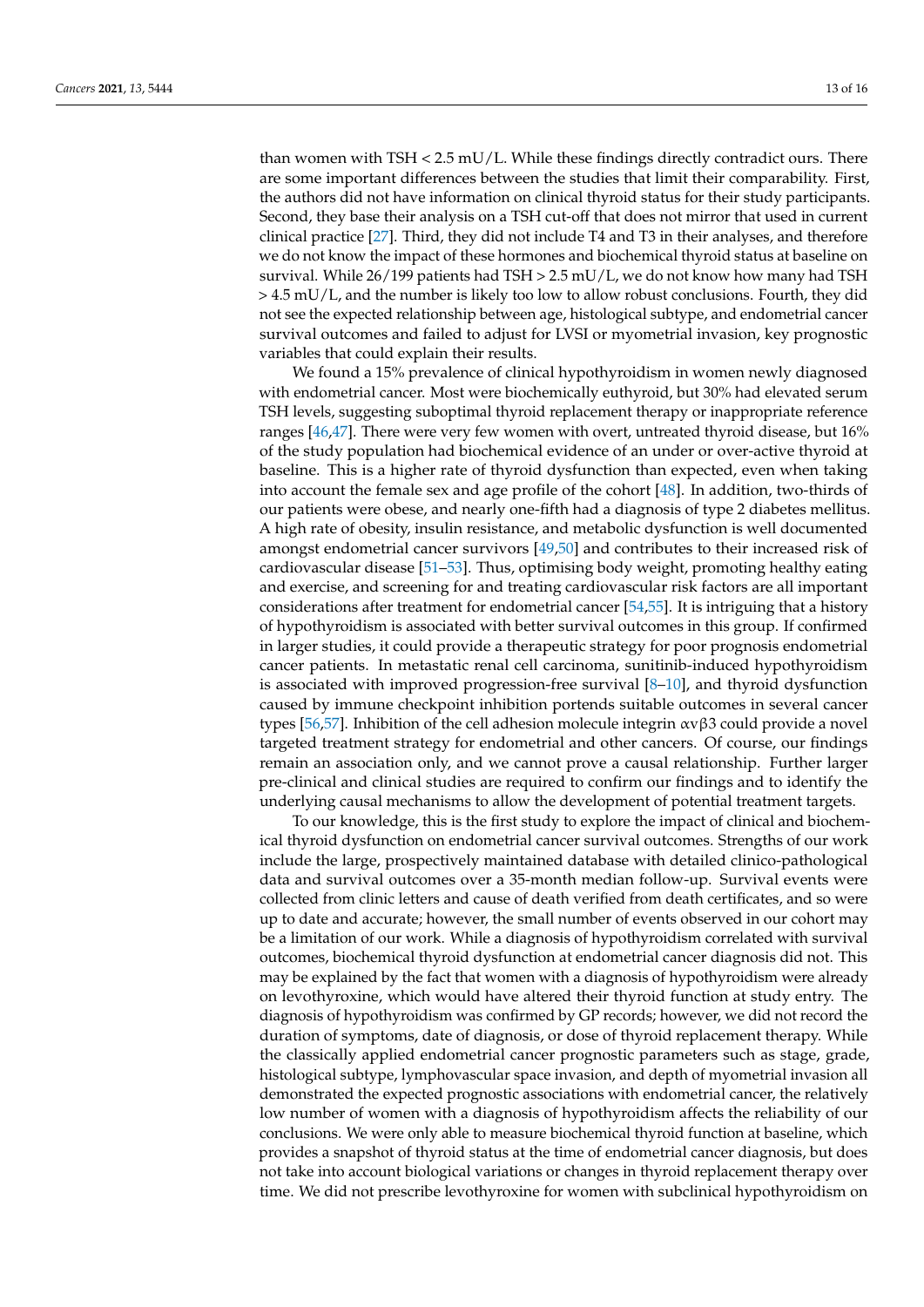than women with TSH < 2.5 mU/L. While these findings directly contradict ours. There are some important differences between the studies that limit their comparability. First, the authors did not have information on clinical thyroid status for their study participants. Second, they base their analysis on a TSH cut-off that does not mirror that used in current clinical practice [\[27\]](#page-14-15). Third, they did not include T4 and T3 in their analyses, and therefore we do not know the impact of these hormones and biochemical thyroid status at baseline on survival. While 26/199 patients had TSH > 2.5 mU/L, we do not know how many had TSH > 4.5 mU/L, and the number is likely too low to allow robust conclusions. Fourth, they did not see the expected relationship between age, histological subtype, and endometrial cancer survival outcomes and failed to adjust for LVSI or myometrial invasion, key prognostic variables that could explain their results.

We found a 15% prevalence of clinical hypothyroidism in women newly diagnosed with endometrial cancer. Most were biochemically euthyroid, but 30% had elevated serum TSH levels, suggesting suboptimal thyroid replacement therapy or inappropriate reference ranges [\[46,](#page-15-12)[47\]](#page-15-13). There were very few women with overt, untreated thyroid disease, but 16% of the study population had biochemical evidence of an under or over-active thyroid at baseline. This is a higher rate of thyroid dysfunction than expected, even when taking into account the female sex and age profile of the cohort [\[48\]](#page-15-14). In addition, two-thirds of our patients were obese, and nearly one-fifth had a diagnosis of type 2 diabetes mellitus. A high rate of obesity, insulin resistance, and metabolic dysfunction is well documented amongst endometrial cancer survivors [\[49](#page-15-15)[,50\]](#page-15-16) and contributes to their increased risk of cardiovascular disease [\[51](#page-15-17)[–53\]](#page-15-18). Thus, optimising body weight, promoting healthy eating and exercise, and screening for and treating cardiovascular risk factors are all important considerations after treatment for endometrial cancer [\[54,](#page-15-19)[55\]](#page-15-20). It is intriguing that a history of hypothyroidism is associated with better survival outcomes in this group. If confirmed in larger studies, it could provide a therapeutic strategy for poor prognosis endometrial cancer patients. In metastatic renal cell carcinoma, sunitinib-induced hypothyroidism is associated with improved progression-free survival [\[8–](#page-13-6)[10\]](#page-14-0), and thyroid dysfunction caused by immune checkpoint inhibition portends suitable outcomes in several cancer types [\[56](#page-15-21)[,57\]](#page-15-22). Inhibition of the cell adhesion molecule integrin  $\alpha$ νβ3 could provide a novel targeted treatment strategy for endometrial and other cancers. Of course, our findings remain an association only, and we cannot prove a causal relationship. Further larger pre-clinical and clinical studies are required to confirm our findings and to identify the underlying causal mechanisms to allow the development of potential treatment targets.

To our knowledge, this is the first study to explore the impact of clinical and biochemical thyroid dysfunction on endometrial cancer survival outcomes. Strengths of our work include the large, prospectively maintained database with detailed clinico-pathological data and survival outcomes over a 35-month median follow-up. Survival events were collected from clinic letters and cause of death verified from death certificates, and so were up to date and accurate; however, the small number of events observed in our cohort may be a limitation of our work. While a diagnosis of hypothyroidism correlated with survival outcomes, biochemical thyroid dysfunction at endometrial cancer diagnosis did not. This may be explained by the fact that women with a diagnosis of hypothyroidism were already on levothyroxine, which would have altered their thyroid function at study entry. The diagnosis of hypothyroidism was confirmed by GP records; however, we did not record the duration of symptoms, date of diagnosis, or dose of thyroid replacement therapy. While the classically applied endometrial cancer prognostic parameters such as stage, grade, histological subtype, lymphovascular space invasion, and depth of myometrial invasion all demonstrated the expected prognostic associations with endometrial cancer, the relatively low number of women with a diagnosis of hypothyroidism affects the reliability of our conclusions. We were only able to measure biochemical thyroid function at baseline, which provides a snapshot of thyroid status at the time of endometrial cancer diagnosis, but does not take into account biological variations or changes in thyroid replacement therapy over time. We did not prescribe levothyroxine for women with subclinical hypothyroidism on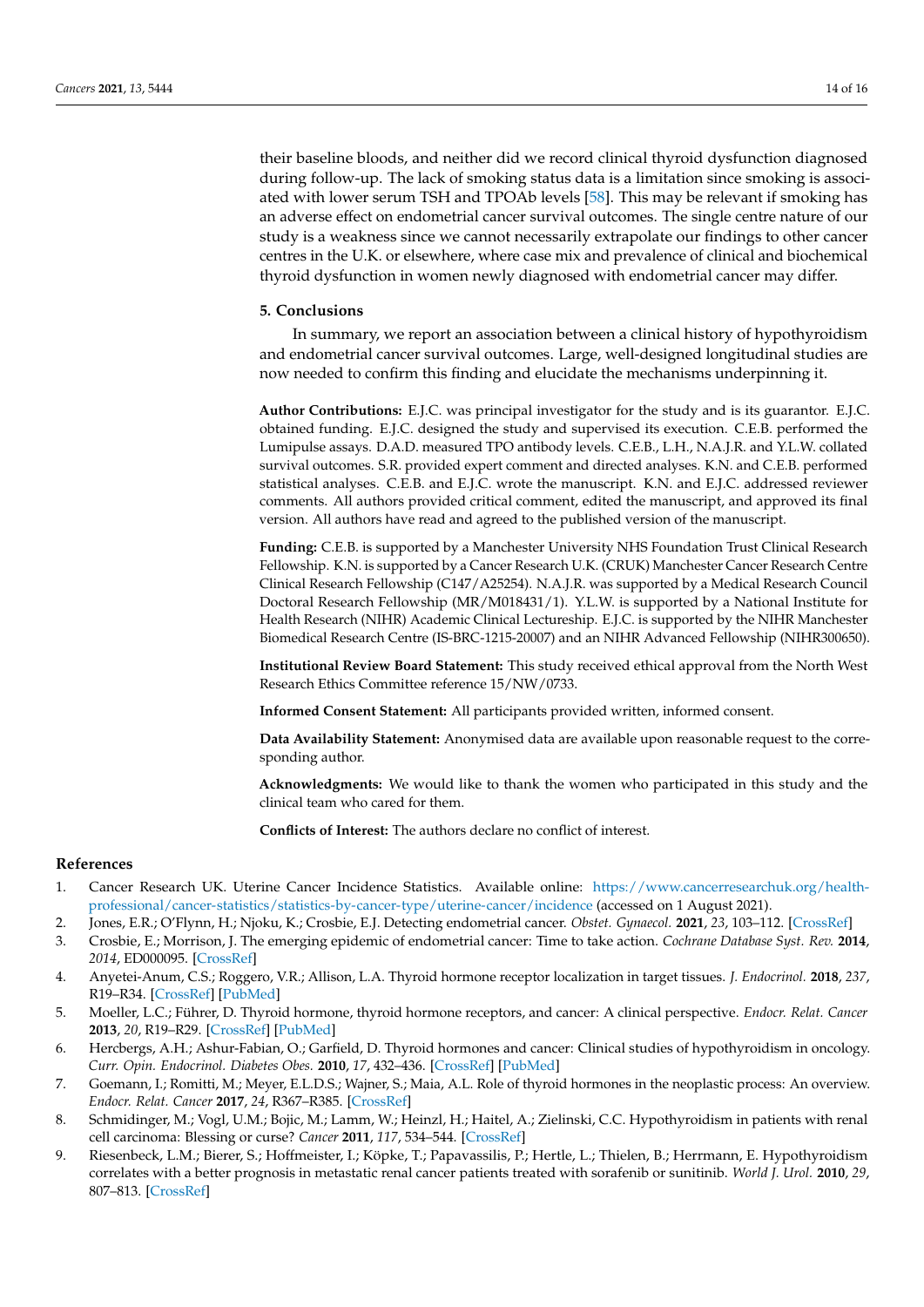their baseline bloods, and neither did we record clinical thyroid dysfunction diagnosed during follow-up. The lack of smoking status data is a limitation since smoking is associated with lower serum TSH and TPOAb levels [\[58\]](#page-15-23). This may be relevant if smoking has an adverse effect on endometrial cancer survival outcomes. The single centre nature of our study is a weakness since we cannot necessarily extrapolate our findings to other cancer centres in the U.K. or elsewhere, where case mix and prevalence of clinical and biochemical thyroid dysfunction in women newly diagnosed with endometrial cancer may differ.

#### **5. Conclusions**

In summary, we report an association between a clinical history of hypothyroidism and endometrial cancer survival outcomes. Large, well-designed longitudinal studies are now needed to confirm this finding and elucidate the mechanisms underpinning it.

**Author Contributions:** E.J.C. was principal investigator for the study and is its guarantor. E.J.C. obtained funding. E.J.C. designed the study and supervised its execution. C.E.B. performed the Lumipulse assays. D.A.D. measured TPO antibody levels. C.E.B., L.H., N.A.J.R. and Y.L.W. collated survival outcomes. S.R. provided expert comment and directed analyses. K.N. and C.E.B. performed statistical analyses. C.E.B. and E.J.C. wrote the manuscript. K.N. and E.J.C. addressed reviewer comments. All authors provided critical comment, edited the manuscript, and approved its final version. All authors have read and agreed to the published version of the manuscript.

**Funding:** C.E.B. is supported by a Manchester University NHS Foundation Trust Clinical Research Fellowship. K.N. is supported by a Cancer Research U.K. (CRUK) Manchester Cancer Research Centre Clinical Research Fellowship (C147/A25254). N.A.J.R. was supported by a Medical Research Council Doctoral Research Fellowship (MR/M018431/1). Y.L.W. is supported by a National Institute for Health Research (NIHR) Academic Clinical Lectureship. E.J.C. is supported by the NIHR Manchester Biomedical Research Centre (IS-BRC-1215-20007) and an NIHR Advanced Fellowship (NIHR300650).

**Institutional Review Board Statement:** This study received ethical approval from the North West Research Ethics Committee reference 15/NW/0733.

**Informed Consent Statement:** All participants provided written, informed consent.

**Data Availability Statement:** Anonymised data are available upon reasonable request to the corresponding author.

**Acknowledgments:** We would like to thank the women who participated in this study and the clinical team who cared for them.

**Conflicts of Interest:** The authors declare no conflict of interest.

#### **References**

- <span id="page-13-0"></span>1. Cancer Research UK. Uterine Cancer Incidence Statistics. Available online: [https://www.cancerresearchuk.org/health](https://www.cancerresearchuk.org/health-professional/cancer-statistics/statistics-by-cancer-type/uterine-cancer/incidence)[professional/cancer-statistics/statistics-by-cancer-type/uterine-cancer/incidence](https://www.cancerresearchuk.org/health-professional/cancer-statistics/statistics-by-cancer-type/uterine-cancer/incidence) (accessed on 1 August 2021).
- <span id="page-13-1"></span>2. Jones, E.R.; O'Flynn, H.; Njoku, K.; Crosbie, E.J. Detecting endometrial cancer. *Obstet. Gynaecol.* **2021**, *23*, 103–112. [\[CrossRef\]](http://doi.org/10.1111/tog.12722)
- <span id="page-13-2"></span>3. Crosbie, E.; Morrison, J. The emerging epidemic of endometrial cancer: Time to take action. *Cochrane Database Syst. Rev.* **2014**, *2014*, ED000095. [\[CrossRef\]](http://doi.org/10.1002/14651858.ed000095)
- <span id="page-13-3"></span>4. Anyetei-Anum, C.S.; Roggero, V.R.; Allison, L.A. Thyroid hormone receptor localization in target tissues. *J. Endocrinol.* **2018**, *237*, R19–R34. [\[CrossRef\]](http://doi.org/10.1530/JOE-17-0708) [\[PubMed\]](http://www.ncbi.nlm.nih.gov/pubmed/29440347)
- <span id="page-13-4"></span>5. Moeller, L.C.; Führer, D. Thyroid hormone, thyroid hormone receptors, and cancer: A clinical perspective. *Endocr. Relat. Cancer* **2013**, *20*, R19–R29. [\[CrossRef\]](http://doi.org/10.1530/ERC-12-0219) [\[PubMed\]](http://www.ncbi.nlm.nih.gov/pubmed/23319493)
- 6. Hercbergs, A.H.; Ashur-Fabian, O.; Garfield, D. Thyroid hormones and cancer: Clinical studies of hypothyroidism in oncology. *Curr. Opin. Endocrinol. Diabetes Obes.* **2010**, *17*, 432–436. [\[CrossRef\]](http://doi.org/10.1097/MED.0b013e32833d9710) [\[PubMed\]](http://www.ncbi.nlm.nih.gov/pubmed/20689420)
- <span id="page-13-5"></span>7. Goemann, I.; Romitti, M.; Meyer, E.L.D.S.; Wajner, S.; Maia, A.L. Role of thyroid hormones in the neoplastic process: An overview. *Endocr. Relat. Cancer* **2017**, *24*, R367–R385. [\[CrossRef\]](http://doi.org/10.1530/ERC-17-0192)
- <span id="page-13-6"></span>8. Schmidinger, M.; Vogl, U.M.; Bojic, M.; Lamm, W.; Heinzl, H.; Haitel, A.; Zielinski, C.C. Hypothyroidism in patients with renal cell carcinoma: Blessing or curse? *Cancer* **2011**, *117*, 534–544. [\[CrossRef\]](http://doi.org/10.1002/cncr.25422)
- 9. Riesenbeck, L.M.; Bierer, S.; Hoffmeister, I.; Köpke, T.; Papavassilis, P.; Hertle, L.; Thielen, B.; Herrmann, E. Hypothyroidism correlates with a better prognosis in metastatic renal cancer patients treated with sorafenib or sunitinib. *World J. Urol.* **2010**, *29*, 807–813. [\[CrossRef\]](http://doi.org/10.1007/s00345-010-0627-2)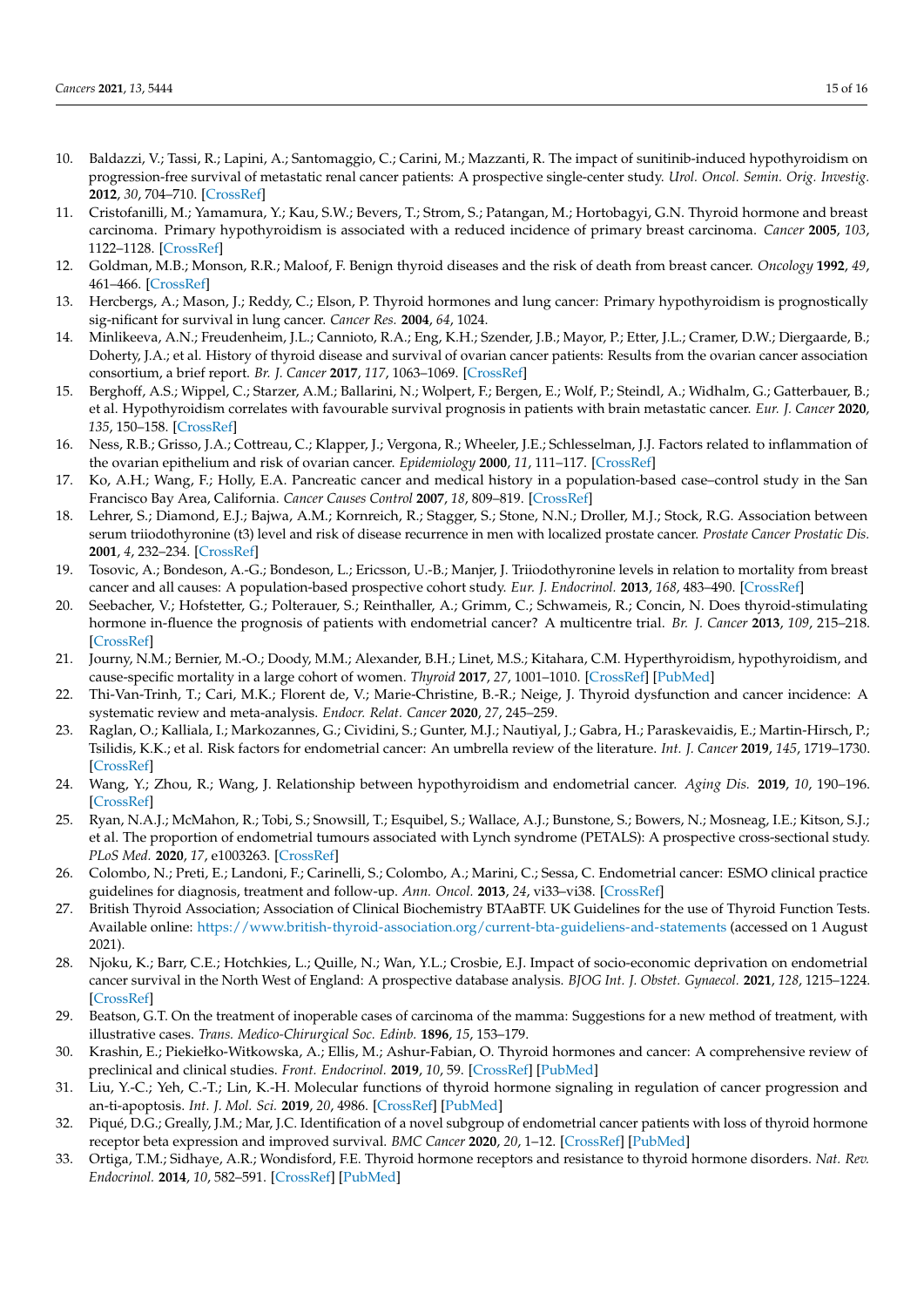- <span id="page-14-0"></span>10. Baldazzi, V.; Tassi, R.; Lapini, A.; Santomaggio, C.; Carini, M.; Mazzanti, R. The impact of sunitinib-induced hypothyroidism on progression-free survival of metastatic renal cancer patients: A prospective single-center study. *Urol. Oncol. Semin. Orig. Investig.* **2012**, *30*, 704–710. [\[CrossRef\]](http://doi.org/10.1016/j.urolonc.2010.07.015)
- <span id="page-14-1"></span>11. Cristofanilli, M.; Yamamura, Y.; Kau, S.W.; Bevers, T.; Strom, S.; Patangan, M.; Hortobagyi, G.N. Thyroid hormone and breast carcinoma. Primary hypothyroidism is associated with a reduced incidence of primary breast carcinoma. *Cancer* **2005**, *103*, 1122–1128. [\[CrossRef\]](http://doi.org/10.1002/cncr.20881)
- <span id="page-14-2"></span>12. Goldman, M.B.; Monson, R.R.; Maloof, F. Benign thyroid diseases and the risk of death from breast cancer. *Oncology* **1992**, *49*, 461–466. [\[CrossRef\]](http://doi.org/10.1159/000227093)
- <span id="page-14-3"></span>13. Hercbergs, A.; Mason, J.; Reddy, C.; Elson, P. Thyroid hormones and lung cancer: Primary hypothyroidism is prognostically sig-nificant for survival in lung cancer. *Cancer Res.* **2004**, *64*, 1024.
- <span id="page-14-4"></span>14. Minlikeeva, A.N.; Freudenheim, J.L.; Cannioto, R.A.; Eng, K.H.; Szender, J.B.; Mayor, P.; Etter, J.L.; Cramer, D.W.; Diergaarde, B.; Doherty, J.A.; et al. History of thyroid disease and survival of ovarian cancer patients: Results from the ovarian cancer association consortium, a brief report. *Br. J. Cancer* **2017**, *117*, 1063–1069. [\[CrossRef\]](http://doi.org/10.1038/bjc.2017.267)
- <span id="page-14-5"></span>15. Berghoff, A.S.; Wippel, C.; Starzer, A.M.; Ballarini, N.; Wolpert, F.; Bergen, E.; Wolf, P.; Steindl, A.; Widhalm, G.; Gatterbauer, B.; et al. Hypothyroidism correlates with favourable survival prognosis in patients with brain metastatic cancer. *Eur. J. Cancer* **2020**, *135*, 150–158. [\[CrossRef\]](http://doi.org/10.1016/j.ejca.2020.05.011)
- <span id="page-14-6"></span>16. Ness, R.B.; Grisso, J.A.; Cottreau, C.; Klapper, J.; Vergona, R.; Wheeler, J.E.; Schlesselman, J.J. Factors related to inflammation of the ovarian epithelium and risk of ovarian cancer. *Epidemiology* **2000**, *11*, 111–117. [\[CrossRef\]](http://doi.org/10.1097/00001648-200003000-00006)
- 17. Ko, A.H.; Wang, F.; Holly, E.A. Pancreatic cancer and medical history in a population-based case–control study in the San Francisco Bay Area, California. *Cancer Causes Control* **2007**, *18*, 809–819. [\[CrossRef\]](http://doi.org/10.1007/s10552-007-9024-6)
- 18. Lehrer, S.; Diamond, E.J.; Bajwa, A.M.; Kornreich, R.; Stagger, S.; Stone, N.N.; Droller, M.J.; Stock, R.G. Association between serum triiodothyronine (t3) level and risk of disease recurrence in men with localized prostate cancer. *Prostate Cancer Prostatic Dis.* **2001**, *4*, 232–234. [\[CrossRef\]](http://doi.org/10.1038/sj.pcan.4500542)
- <span id="page-14-7"></span>19. Tosovic, A.; Bondeson, A.-G.; Bondeson, L.; Ericsson, U.-B.; Manjer, J. Triiodothyronine levels in relation to mortality from breast cancer and all causes: A population-based prospective cohort study. *Eur. J. Endocrinol.* **2013**, *168*, 483–490. [\[CrossRef\]](http://doi.org/10.1530/EJE-12-0564)
- <span id="page-14-8"></span>20. Seebacher, V.; Hofstetter, G.; Polterauer, S.; Reinthaller, A.; Grimm, C.; Schwameis, R.; Concin, N. Does thyroid-stimulating hormone in-fluence the prognosis of patients with endometrial cancer? A multicentre trial. *Br. J. Cancer* **2013**, *109*, 215–218. [\[CrossRef\]](http://doi.org/10.1038/bjc.2013.282)
- <span id="page-14-9"></span>21. Journy, N.M.; Bernier, M.-O.; Doody, M.M.; Alexander, B.H.; Linet, M.S.; Kitahara, C.M. Hyperthyroidism, hypothyroidism, and cause-specific mortality in a large cohort of women. *Thyroid* **2017**, *27*, 1001–1010. [\[CrossRef\]](http://doi.org/10.1089/thy.2017.0063) [\[PubMed\]](http://www.ncbi.nlm.nih.gov/pubmed/28578598)
- <span id="page-14-10"></span>22. Thi-Van-Trinh, T.; Cari, M.K.; Florent de, V.; Marie-Christine, B.-R.; Neige, J. Thyroid dysfunction and cancer incidence: A systematic review and meta-analysis. *Endocr. Relat. Cancer* **2020**, *27*, 245–259.
- <span id="page-14-11"></span>23. Raglan, O.; Kalliala, I.; Markozannes, G.; Cividini, S.; Gunter, M.J.; Nautiyal, J.; Gabra, H.; Paraskevaidis, E.; Martin-Hirsch, P.; Tsilidis, K.K.; et al. Risk factors for endometrial cancer: An umbrella review of the literature. *Int. J. Cancer* **2019**, *145*, 1719–1730. [\[CrossRef\]](http://doi.org/10.1002/ijc.31961)
- <span id="page-14-12"></span>24. Wang, Y.; Zhou, R.; Wang, J. Relationship between hypothyroidism and endometrial cancer. *Aging Dis.* **2019**, *10*, 190–196. [\[CrossRef\]](http://doi.org/10.14336/AD.2018.0224)
- <span id="page-14-13"></span>25. Ryan, N.A.J.; McMahon, R.; Tobi, S.; Snowsill, T.; Esquibel, S.; Wallace, A.J.; Bunstone, S.; Bowers, N.; Mosneag, I.E.; Kitson, S.J.; et al. The proportion of endometrial tumours associated with Lynch syndrome (PETALS): A prospective cross-sectional study. *PLoS Med.* **2020**, *17*, e1003263. [\[CrossRef\]](http://doi.org/10.1371/journal.pmed.1003263)
- <span id="page-14-14"></span>26. Colombo, N.; Preti, E.; Landoni, F.; Carinelli, S.; Colombo, A.; Marini, C.; Sessa, C. Endometrial cancer: ESMO clinical practice guidelines for diagnosis, treatment and follow-up. *Ann. Oncol.* **2013**, *24*, vi33–vi38. [\[CrossRef\]](http://doi.org/10.1093/annonc/mdt353)
- <span id="page-14-15"></span>27. British Thyroid Association; Association of Clinical Biochemistry BTAaBTF. UK Guidelines for the use of Thyroid Function Tests. Available online: <https://www.british-thyroid-association.org/current-bta-guideliens-and-statements> (accessed on 1 August 2021).
- <span id="page-14-16"></span>28. Njoku, K.; Barr, C.E.; Hotchkies, L.; Quille, N.; Wan, Y.L.; Crosbie, E.J. Impact of socio-economic deprivation on endometrial cancer survival in the North West of England: A prospective database analysis. *BJOG Int. J. Obstet. Gynaecol.* **2021**, *128*, 1215–1224. [\[CrossRef\]](http://doi.org/10.1111/1471-0528.16618)
- <span id="page-14-17"></span>29. Beatson, G.T. On the treatment of inoperable cases of carcinoma of the mamma: Suggestions for a new method of treatment, with illustrative cases. *Trans. Medico-Chirurgical Soc. Edinb.* **1896**, *15*, 153–179.
- <span id="page-14-18"></span>30. Krashin, E.; Piekiełko-Witkowska, A.; Ellis, M.; Ashur-Fabian, O. Thyroid hormones and cancer: A comprehensive review of preclinical and clinical studies. *Front. Endocrinol.* **2019**, *10*, 59. [\[CrossRef\]](http://doi.org/10.3389/fendo.2019.00059) [\[PubMed\]](http://www.ncbi.nlm.nih.gov/pubmed/30814976)
- <span id="page-14-19"></span>31. Liu, Y.-C.; Yeh, C.-T.; Lin, K.-H. Molecular functions of thyroid hormone signaling in regulation of cancer progression and an-ti-apoptosis. *Int. J. Mol. Sci.* **2019**, *20*, 4986. [\[CrossRef\]](http://doi.org/10.3390/ijms20204986) [\[PubMed\]](http://www.ncbi.nlm.nih.gov/pubmed/31600974)
- <span id="page-14-20"></span>32. Piqué, D.G.; Greally, J.M.; Mar, J.C. Identification of a novel subgroup of endometrial cancer patients with loss of thyroid hormone receptor beta expression and improved survival. *BMC Cancer* **2020**, *20*, 1–12. [\[CrossRef\]](http://doi.org/10.1186/s12885-020-07325-y) [\[PubMed\]](http://www.ncbi.nlm.nih.gov/pubmed/32894083)
- <span id="page-14-21"></span>33. Ortiga, T.M.; Sidhaye, A.R.; Wondisford, F.E. Thyroid hormone receptors and resistance to thyroid hormone disorders. *Nat. Rev. Endocrinol.* **2014**, *10*, 582–591. [\[CrossRef\]](http://doi.org/10.1038/nrendo.2014.143) [\[PubMed\]](http://www.ncbi.nlm.nih.gov/pubmed/25135573)